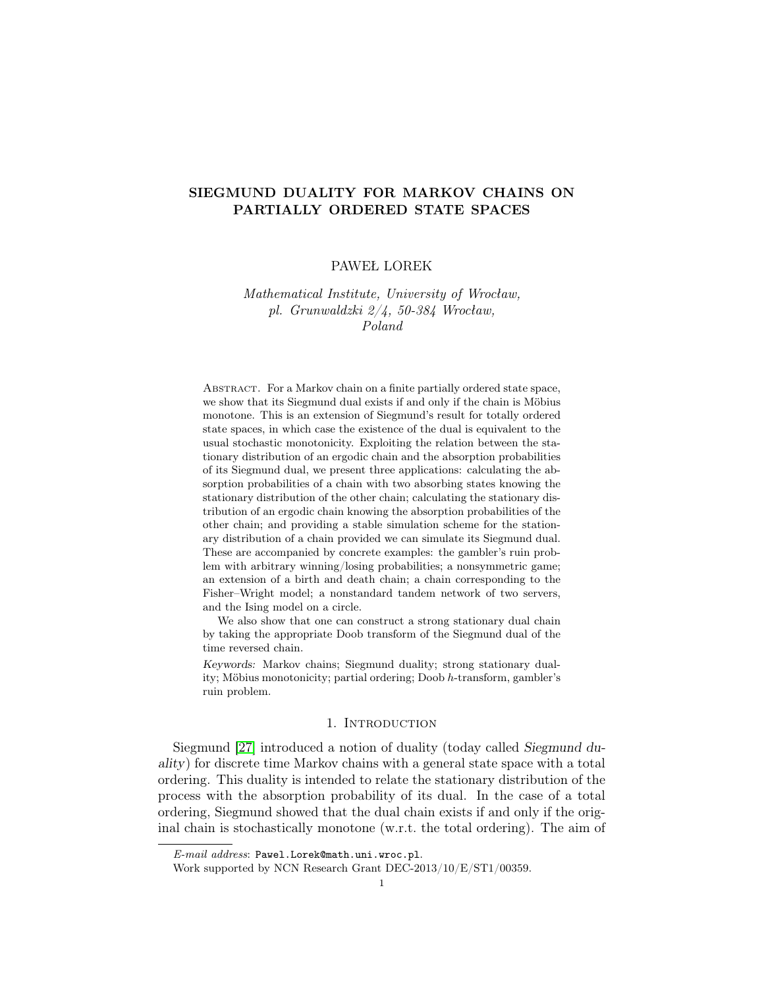# SIEGMUND DUALITY FOR MARKOV CHAINS ON PARTIALLY ORDERED STATE SPACES

## PAWEŁ LOREK

# Mathematical Institute, University of Wrocław, pl. Grunwaldzki 2/4, 50-384 Wrocław, Poland

Abstract. For a Markov chain on a finite partially ordered state space, we show that its Siegmund dual exists if and only if the chain is Möbius monotone. This is an extension of Siegmund's result for totally ordered state spaces, in which case the existence of the dual is equivalent to the usual stochastic monotonicity. Exploiting the relation between the stationary distribution of an ergodic chain and the absorption probabilities of its Siegmund dual, we present three applications: calculating the absorption probabilities of a chain with two absorbing states knowing the stationary distribution of the other chain; calculating the stationary distribution of an ergodic chain knowing the absorption probabilities of the other chain; and providing a stable simulation scheme for the stationary distribution of a chain provided we can simulate its Siegmund dual. These are accompanied by concrete examples: the gambler's ruin problem with arbitrary winning/losing probabilities; a nonsymmetric game; an extension of a birth and death chain; a chain corresponding to the Fisher–Wright model; a nonstandard tandem network of two servers, and the Ising model on a circle.

We also show that one can construct a strong stationary dual chain by taking the appropriate Doob transform of the Siegmund dual of the time reversed chain.

Keywords: Markov chains; Siegmund duality; strong stationary duality; Möbius monotonicity; partial ordering; Doob h-transform, gambler's ruin problem.

## 1. INTRODUCTION

Siegmund [\[27\]](#page-29-0) introduced a notion of duality (today called Siegmund duality) for discrete time Markov chains with a general state space with a total ordering. This duality is intended to relate the stationary distribution of the process with the absorption probability of its dual. In the case of a total ordering, Siegmund showed that the dual chain exists if and only if the original chain is stochastically monotone (w.r.t. the total ordering). The aim of

E-mail address: Pawel.Lorek@math.uni.wroc.pl.

Work supported by NCN Research Grant DEC-2013/10/E/ST1/00359.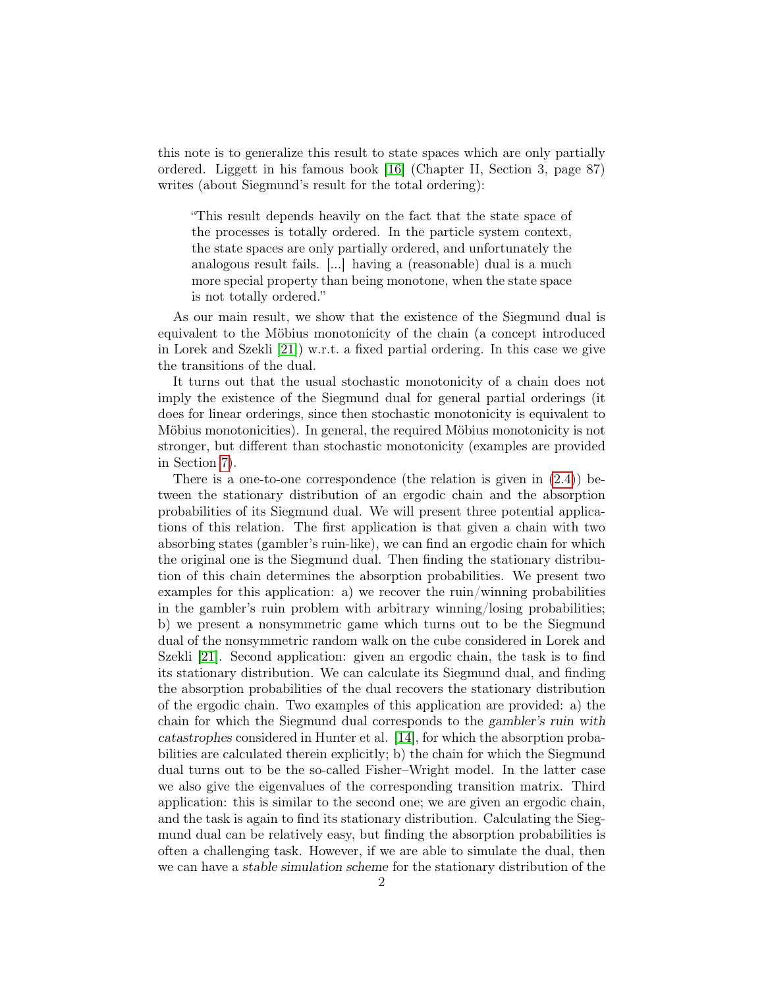this note is to generalize this result to state spaces which are only partially ordered. Liggett in his famous book [\[16\]](#page-28-0) (Chapter II, Section 3, page 87) writes (about Siegmund's result for the total ordering):

"This result depends heavily on the fact that the state space of the processes is totally ordered. In the particle system context, the state spaces are only partially ordered, and unfortunately the analogous result fails. [...] having a (reasonable) dual is a much more special property than being monotone, when the state space is not totally ordered."

As our main result, we show that the existence of the Siegmund dual is equivalent to the Möbius monotonicity of the chain (a concept introduced in Lorek and Szekli [\[21\]](#page-28-1)) w.r.t. a fixed partial ordering. In this case we give the transitions of the dual.

It turns out that the usual stochastic monotonicity of a chain does not imply the existence of the Siegmund dual for general partial orderings (it does for linear orderings, since then stochastic monotonicity is equivalent to Möbius monotonicities). In general, the required Möbius monotonicity is not stronger, but different than stochastic monotonicity (examples are provided in Section [7\)](#page-25-0).

There is a one-to-one correspondence (the relation is given in [\(2.4\)](#page-4-0)) between the stationary distribution of an ergodic chain and the absorption probabilities of its Siegmund dual. We will present three potential applications of this relation. The first application is that given a chain with two absorbing states (gambler's ruin-like), we can find an ergodic chain for which the original one is the Siegmund dual. Then finding the stationary distribution of this chain determines the absorption probabilities. We present two examples for this application: a) we recover the ruin/winning probabilities in the gambler's ruin problem with arbitrary winning/losing probabilities; b) we present a nonsymmetric game which turns out to be the Siegmund dual of the nonsymmetric random walk on the cube considered in Lorek and Szekli [\[21\]](#page-28-1). Second application: given an ergodic chain, the task is to find its stationary distribution. We can calculate its Siegmund dual, and finding the absorption probabilities of the dual recovers the stationary distribution of the ergodic chain. Two examples of this application are provided: a) the chain for which the Siegmund dual corresponds to the gambler's ruin with catastrophes considered in Hunter et al. [\[14\]](#page-28-2), for which the absorption probabilities are calculated therein explicitly; b) the chain for which the Siegmund dual turns out to be the so-called Fisher–Wright model. In the latter case we also give the eigenvalues of the corresponding transition matrix. Third application: this is similar to the second one; we are given an ergodic chain, and the task is again to find its stationary distribution. Calculating the Siegmund dual can be relatively easy, but finding the absorption probabilities is often a challenging task. However, if we are able to simulate the dual, then we can have a stable simulation scheme for the stationary distribution of the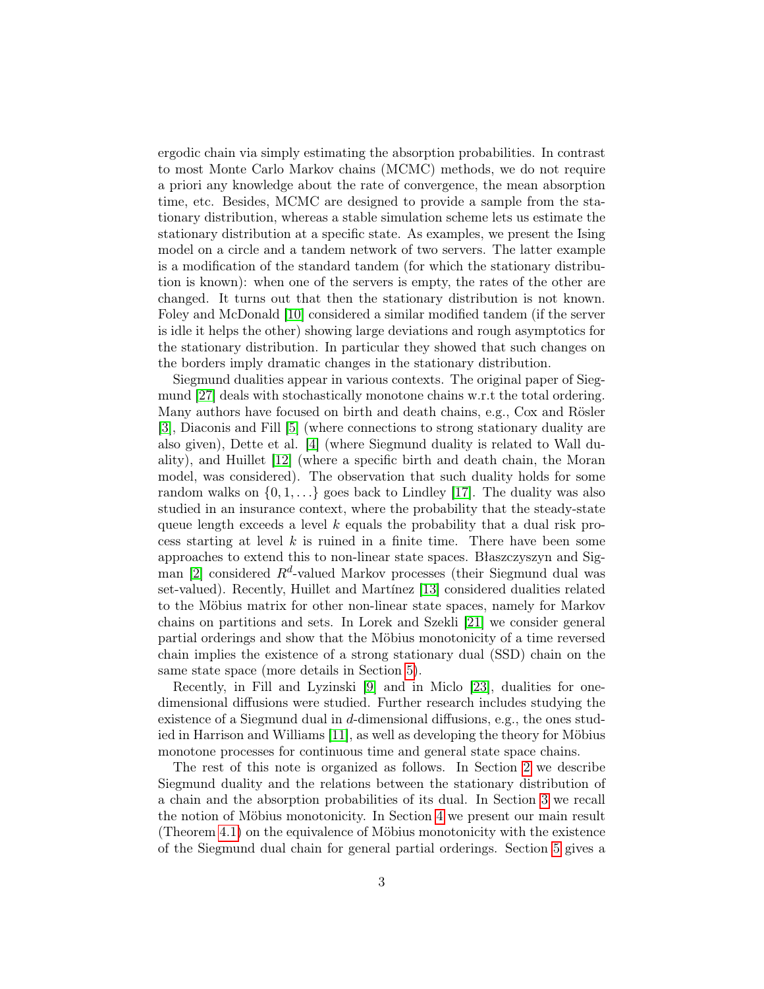ergodic chain via simply estimating the absorption probabilities. In contrast to most Monte Carlo Markov chains (MCMC) methods, we do not require a priori any knowledge about the rate of convergence, the mean absorption time, etc. Besides, MCMC are designed to provide a sample from the stationary distribution, whereas a stable simulation scheme lets us estimate the stationary distribution at a specific state. As examples, we present the Ising model on a circle and a tandem network of two servers. The latter example is a modification of the standard tandem (for which the stationary distribution is known): when one of the servers is empty, the rates of the other are changed. It turns out that then the stationary distribution is not known. Foley and McDonald [\[10\]](#page-28-3) considered a similar modified tandem (if the server is idle it helps the other) showing large deviations and rough asymptotics for the stationary distribution. In particular they showed that such changes on the borders imply dramatic changes in the stationary distribution.

Siegmund dualities appear in various contexts. The original paper of Siegmund [\[27\]](#page-29-0) deals with stochastically monotone chains w.r.t the total ordering. Many authors have focused on birth and death chains, e.g., Cox and Rösler [\[3\]](#page-28-4), Diaconis and Fill [\[5\]](#page-28-5) (where connections to strong stationary duality are also given), Dette et al. [\[4\]](#page-28-6) (where Siegmund duality is related to Wall duality), and Huillet [\[12\]](#page-28-7) (where a specific birth and death chain, the Moran model, was considered). The observation that such duality holds for some random walks on  $\{0, 1, \ldots\}$  goes back to Lindley [\[17\]](#page-28-8). The duality was also studied in an insurance context, where the probability that the steady-state queue length exceeds a level  $k$  equals the probability that a dual risk process starting at level  $k$  is ruined in a finite time. There have been some approaches to extend this to non-linear state spaces. Błaszczyszyn and Sig-man [\[2\]](#page-28-9) considered  $R^d$ -valued Markov processes (their Siegmund dual was set-valued). Recently, Huillet and Martínez [\[13\]](#page-28-10) considered dualities related to the Möbius matrix for other non-linear state spaces, namely for Markov chains on partitions and sets. In Lorek and Szekli [\[21\]](#page-28-1) we consider general partial orderings and show that the Möbius monotonicity of a time reversed chain implies the existence of a strong stationary dual (SSD) chain on the same state space (more details in Section [5\)](#page-7-0).

Recently, in Fill and Lyzinski [\[9\]](#page-28-11) and in Miclo [\[23\]](#page-28-12), dualities for onedimensional diffusions were studied. Further research includes studying the existence of a Siegmund dual in d-dimensional diffusions, e.g., the ones studied in Harrison and Williams [\[11\]](#page-28-13), as well as developing the theory for Möbius monotone processes for continuous time and general state space chains.

The rest of this note is organized as follows. In Section [2](#page-3-0) we describe Siegmund duality and the relations between the stationary distribution of a chain and the absorption probabilities of its dual. In Section [3](#page-4-1) we recall the notion of Möbius monotonicity. In Section [4](#page-4-2) we present our main result (Theorem [4.1\)](#page-5-0) on the equivalence of Möbius monotonicity with the existence of the Siegmund dual chain for general partial orderings. Section [5](#page-7-0) gives a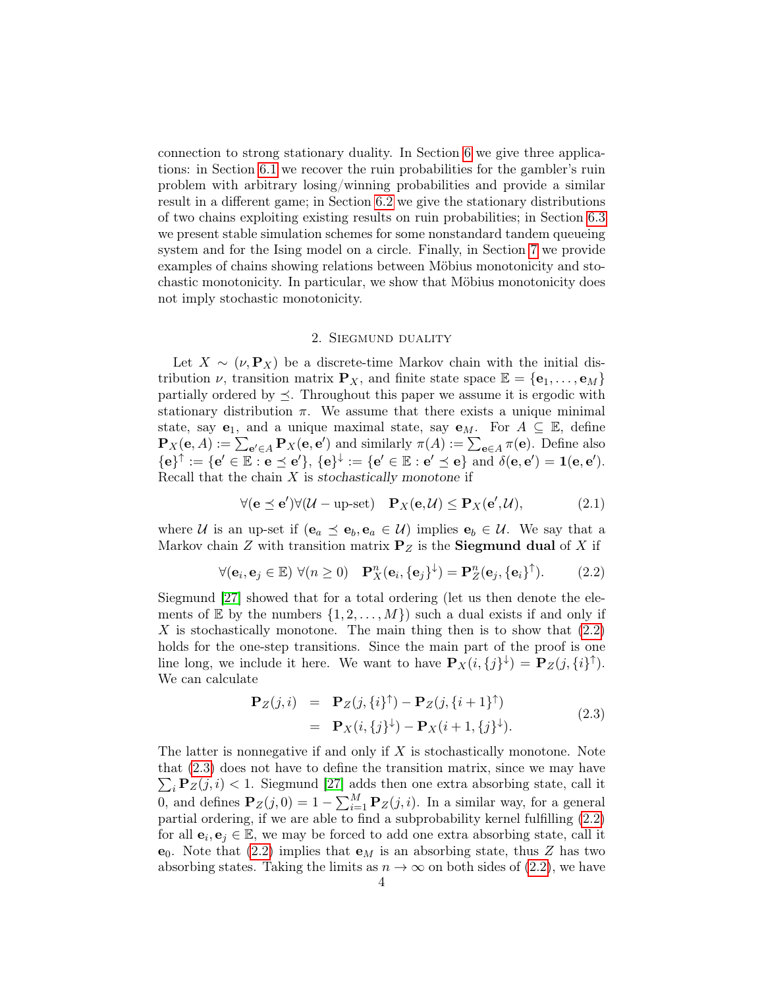connection to strong stationary duality. In Section [6](#page-8-0) we give three applications: in Section [6.1](#page-9-0) we recover the ruin probabilities for the gambler's ruin problem with arbitrary losing/winning probabilities and provide a similar result in a different game; in Section [6.2](#page-13-0) we give the stationary distributions of two chains exploiting existing results on ruin probabilities; in Section [6.3](#page-16-0) we present stable simulation schemes for some nonstandard tandem queueing system and for the Ising model on a circle. Finally, in Section [7](#page-25-0) we provide examples of chains showing relations between Möbius monotonicity and stochastic monotonicity. In particular, we show that Möbius monotonicity does not imply stochastic monotonicity.

### <span id="page-3-3"></span><span id="page-3-1"></span>2. Siegmund duality

<span id="page-3-0"></span>Let  $X \sim (\nu, \mathbf{P}_X)$  be a discrete-time Markov chain with the initial distribution  $\nu$ , transition matrix  $\mathbf{P}_X$ , and finite state space  $\mathbb{E} = {\mathbf{e}_1, \dots, \mathbf{e}_M}$ partially ordered by  $\preceq$ . Throughout this paper we assume it is ergodic with stationary distribution  $\pi$ . We assume that there exists a unique minimal state, say  $e_1$ , and a unique maximal state, say  $e_M$ . For  $A \subseteq \mathbb{E}$ , define  $\mathbf{P}_X(\mathbf{e},A) := \sum_{\mathbf{e}' \in A} \mathbf{P}_X(\mathbf{e},\mathbf{e}')$  and similarly  $\pi(A) := \sum_{\mathbf{e} \in A} \pi(\mathbf{e})$ . Define also  ${e}^{\uparrow} := {e' \in \mathbb{E} : e \preceq e'}, {e}^{\downarrow} := {e' \in \mathbb{E} : e' \preceq e} \text{ and } \delta(e, e') = 1(e, e').$ Recall that the chain  $X$  is stochastically monotone if

$$
\forall (\mathbf{e} \preceq \mathbf{e}') \forall (\mathcal{U} - \text{up-set}) \quad \mathbf{P}_X(\mathbf{e}, \mathcal{U}) \le \mathbf{P}_X(\mathbf{e}', \mathcal{U}), \tag{2.1}
$$

where U is an up-set if  $(e_a \preceq e_b, e_a \in U)$  implies  $e_b \in U$ . We say that a Markov chain  $Z$  with transition matrix  $P_Z$  is the **Siegmund dual** of  $X$  if

$$
\forall (\mathbf{e}_i, \mathbf{e}_j \in \mathbb{E}) \ \forall (n \ge 0) \quad \mathbf{P}_X^n(\mathbf{e}_i, {\{\mathbf{e}_j\}}^\downarrow) = \mathbf{P}_Z^n(\mathbf{e}_j, {\{\mathbf{e}_i\}}^\uparrow). \tag{2.2}
$$

Siegmund [\[27\]](#page-29-0) showed that for a total ordering (let us then denote the elements of  $\mathbb E$  by the numbers  $\{1, 2, \ldots, M\}$  such a dual exists if and only if  $X$  is stochastically monotone. The main thing then is to show that  $(2.2)$ holds for the one-step transitions. Since the main part of the proof is one line long, we include it here. We want to have  $\mathbf{P}_X(i, j) = \mathbf{P}_Z(j, \{i\}^{\uparrow})$ . We can calculate

<span id="page-3-2"></span>
$$
\begin{aligned} \mathbf{P}_Z(j,i) &= \mathbf{P}_Z(j,\{i\}^\uparrow) - \mathbf{P}_Z(j,\{i+1\}^\uparrow) \\ &= \mathbf{P}_X(i,\{j\}^\downarrow) - \mathbf{P}_X(i+1,\{j\}^\downarrow). \end{aligned} \tag{2.3}
$$

The latter is nonnegative if and only if  $X$  is stochastically monotone. Note that [\(2.3\)](#page-3-2) does not have to define the transition matrix, since we may have  $\sum_i \mathbf{P}_z(j, i) < 1$ . Siegmund [\[27\]](#page-29-0) adds then one extra absorbing state, call it 0, and defines  $\mathbf{P}_z(j,0) = 1 - \sum_{i=1}^M \mathbf{P}_z(j,i)$ . In a similar way, for a general partial ordering, if we are able to find a subprobability kernel fulfilling [\(2.2\)](#page-3-1) for all  $\mathbf{e}_i, \mathbf{e}_j \in \mathbb{E}$ , we may be forced to add one extra absorbing state, call it  $e_0$ . Note that [\(2.2\)](#page-3-1) implies that  $e_M$  is an absorbing state, thus Z has two absorbing states. Taking the limits as  $n \to \infty$  on both sides of [\(2.2\)](#page-3-1), we have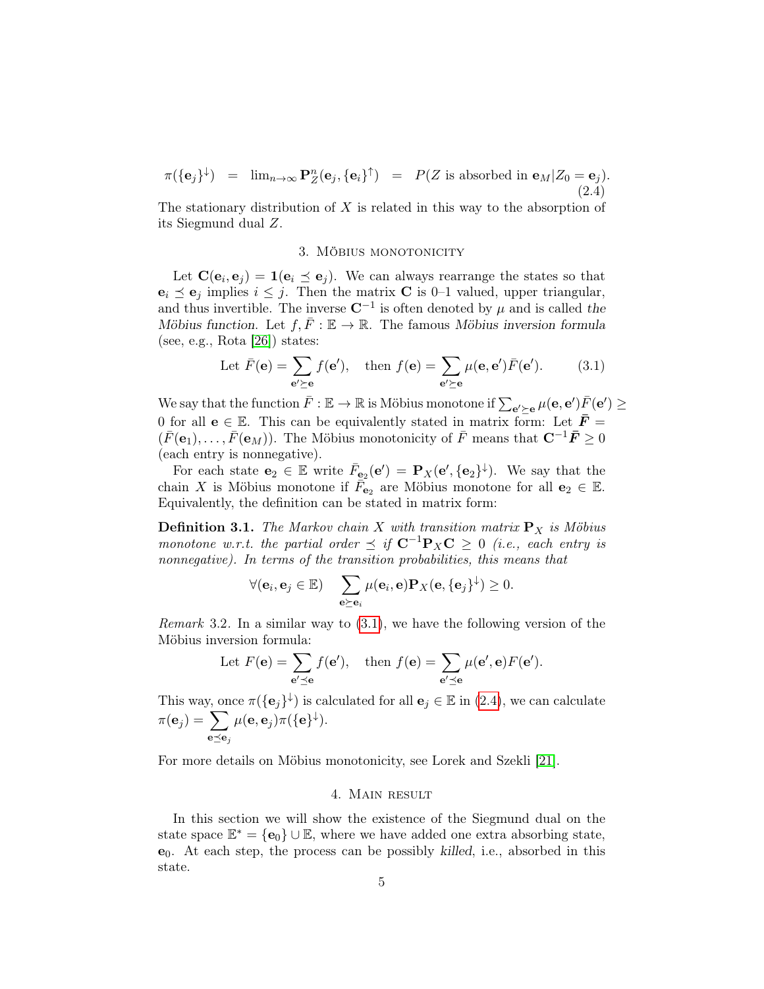<span id="page-4-0"></span>
$$
\pi(\{\mathbf{e}_j\}^{\downarrow}) = \lim_{n \to \infty} \mathbf{P}_Z^n(\mathbf{e}_j, \{\mathbf{e}_i\}^{\uparrow}) = P(Z \text{ is absorbed in } \mathbf{e}_M | Z_0 = \mathbf{e}_j).
$$
\n(2.4)

The stationary distribution of  $X$  is related in this way to the absorption of its Siegmund dual Z.

### <span id="page-4-3"></span>3. MÖBIUS MONOTONICITY

<span id="page-4-1"></span>Let  $\mathbf{C}(\mathbf{e}_i, \mathbf{e}_j) = \mathbf{1}(\mathbf{e}_i \preceq \mathbf{e}_j)$ . We can always rearrange the states so that  $e_i \preceq e_j$  implies  $i \leq j$ . Then the matrix **C** is 0–1 valued, upper triangular, and thus invertible. The inverse  $\mathbb{C}^{-1}$  is often denoted by  $\mu$  and is called the Möbius function. Let  $f, \overline{F} : \mathbb{E} \to \mathbb{R}$ . The famous Möbius inversion formula (see, e.g., Rota [\[26\]](#page-29-1)) states:

Let 
$$
\bar{F}(\mathbf{e}) = \sum_{\mathbf{e}' \succeq \mathbf{e}} f(\mathbf{e}'), \text{ then } f(\mathbf{e}) = \sum_{\mathbf{e}' \succeq \mathbf{e}} \mu(\mathbf{e}, \mathbf{e}') \bar{F}(\mathbf{e}').
$$
 (3.1)

We say that the function  $\bar F:\mathbb E\to\mathbb R$  is Möbius monotone if  $\sum_{\mathbf{e}'\succeq\mathbf{e}}\mu(\mathbf{e},\mathbf{e}')\bar F(\mathbf{e}')\geq 0$ 0 for all  $e \in \mathbb{E}$ . This can be equivalently stated in matrix form: Let  $\bar{F} =$  $(\bar{F}(\mathbf{e}_1), \ldots, \bar{F}(\mathbf{e}_M))$ . The Möbius monotonicity of  $\bar{F}$  means that  $\mathbf{C}^{-1}\bar{F} > 0$ (each entry is nonnegative).

For each state  $\mathbf{e}_2 \in \mathbb{E}$  write  $\bar{F}_{\mathbf{e}_2}(\mathbf{e}') = \mathbf{P}_X(\mathbf{e}', \{\mathbf{e}_2\}^{\downarrow})$ . We say that the chain X is Möbius monotone if  $\overline{F}_{\mathbf{e}_2}$  are Möbius monotone for all  $\mathbf{e}_2 \in \mathbb{E}$ . Equivalently, the definition can be stated in matrix form:

**Definition 3.1.** The Markov chain X with transition matrix  $P_X$  is Möbius monotone w.r.t. the partial order  $\prec$  if  $C^{-1}P_XC \geq 0$  (i.e., each entry is nonnegative). In terms of the transition probabilities, this means that

$$
\forall (\mathbf{e}_i, \mathbf{e}_j \in \mathbb{E}) \quad \sum_{\mathbf{e} \succeq \mathbf{e}_i} \mu(\mathbf{e}_i, \mathbf{e}) \mathbf{P}_X(\mathbf{e}, \{\mathbf{e}_j\}^{\downarrow}) \geq 0.
$$

<span id="page-4-4"></span>*Remark* 3.2. In a similar way to  $(3.1)$ , we have the following version of the Möbius inversion formula:

Let 
$$
F(\mathbf{e}) = \sum_{\mathbf{e}' \preceq \mathbf{e}} f(\mathbf{e}'),
$$
 then  $f(\mathbf{e}) = \sum_{\mathbf{e}' \preceq \mathbf{e}} \mu(\mathbf{e}', \mathbf{e}) F(\mathbf{e}').$ 

This way, once  $\pi({\{\mathbf{e}_j\}}^{\downarrow})$  is calculated for all  $\mathbf{e}_j \in \mathbb{E}$  in [\(2.4\)](#page-4-0), we can calculate  $\pi(\mathbf{e}_j) = \sum$  $\mathbf{e} \preceq \mathbf{e}_j$  $\mu(\mathbf{e},\mathbf{e}_j)\pi(\{\mathbf{e}\}^\downarrow).$ 

For more details on Möbius monotonicity, see Lorek and Szekli [\[21\]](#page-28-1).

#### 4. Main result

<span id="page-4-2"></span>In this section we will show the existence of the Siegmund dual on the state space  $\mathbb{E}^* = {\bf e}_0 \} \cup \mathbb{E}$ , where we have added one extra absorbing state,  $e_0$ . At each step, the process can be possibly killed, i.e., absorbed in this state.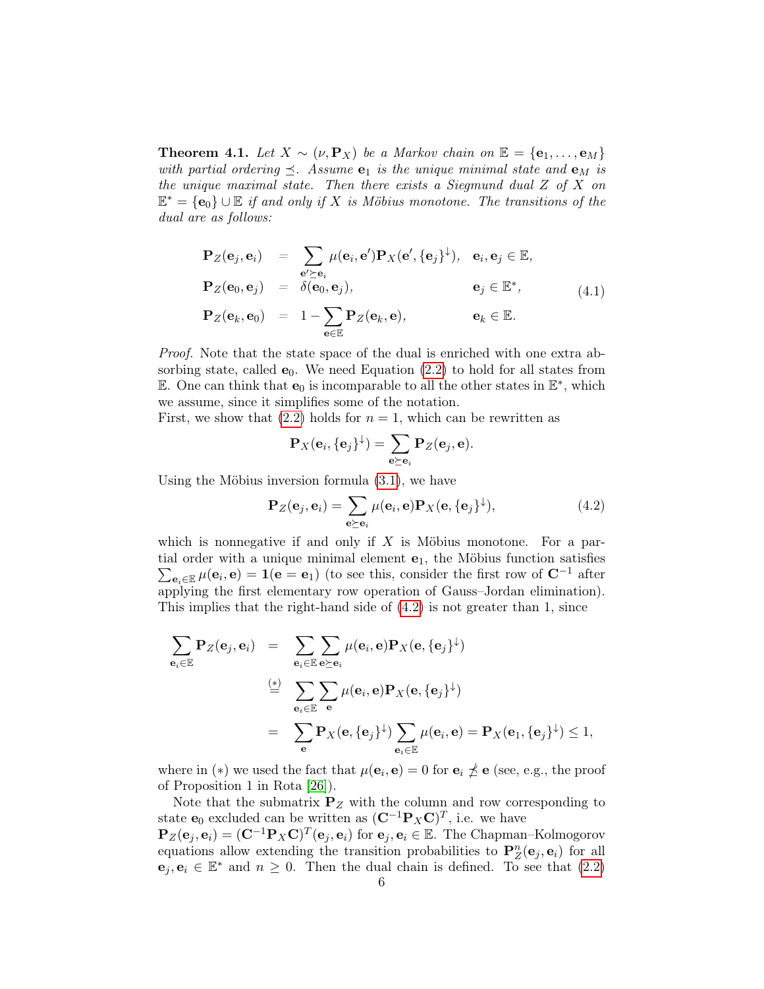<span id="page-5-0"></span>**Theorem 4.1.** Let  $X \sim (\nu, \mathbf{P}_X)$  be a Markov chain on  $\mathbb{E} = {\mathbf{e}_1, \dots, \mathbf{e}_M}$ with partial ordering  $\preceq$ . Assume  $e_1$  is the unique minimal state and  $e_M$  is the unique maximal state. Then there exists a Siegmund dual  $Z$  of  $X$  on  $\mathbb{E}^* = {\bf e}_0 \} \cup \mathbb{E}$  if and only if X is Möbius monotone. The transitions of the dual are as follows:

<span id="page-5-2"></span>
$$
\begin{array}{rcl}\n\mathbf{P}_Z(\mathbf{e}_j, \mathbf{e}_i) &=& \sum_{\mathbf{e}' \succeq \mathbf{e}_i} \mu(\mathbf{e}_i, \mathbf{e}') \mathbf{P}_X(\mathbf{e}', \{\mathbf{e}_j\}^\downarrow), \quad \mathbf{e}_i, \mathbf{e}_j \in \mathbb{E}, \\
\mathbf{P}_Z(\mathbf{e}_0, \mathbf{e}_j) &=& \delta(\mathbf{e}_0, \mathbf{e}_j), \qquad \mathbf{e}_j \in \mathbb{E}^*, \\
\mathbf{P}_Z(\mathbf{e}_k, \mathbf{e}_0) &=& 1 - \sum_{\mathbf{e} \in \mathbb{E}} \mathbf{P}_Z(\mathbf{e}_k, \mathbf{e}), \qquad \mathbf{e}_k \in \mathbb{E}.\n\end{array} \tag{4.1}
$$

Proof. Note that the state space of the dual is enriched with one extra absorbing state, called  $e_0$ . We need Equation [\(2.2\)](#page-3-1) to hold for all states from E. One can think that  $e_0$  is incomparable to all the other states in  $\mathbb{E}^*$ , which we assume, since it simplifies some of the notation.

First, we show that  $(2.2)$  holds for  $n = 1$ , which can be rewritten as

<span id="page-5-1"></span>
$$
\mathbf{P}_X(\mathbf{e}_i, \{\mathbf{e}_j\}^{\downarrow}) = \sum_{\mathbf{e} \succeq \mathbf{e}_i} \mathbf{P}_Z(\mathbf{e}_j, \mathbf{e}).
$$

Using the Möbius inversion formula [\(3.1\)](#page-4-3), we have

$$
\mathbf{P}_Z(\mathbf{e}_j, \mathbf{e}_i) = \sum_{\mathbf{e} \succeq \mathbf{e}_i} \mu(\mathbf{e}_i, \mathbf{e}) \mathbf{P}_X(\mathbf{e}, \{\mathbf{e}_j\}^{\downarrow}), \tag{4.2}
$$

which is nonnegative if and only if  $X$  is Möbius monotone. For a partial order with a unique minimal element  $e_1$ , the Möbius function satisfies  $\sum_{\mathbf{e}_i \in \mathbb{E}} \mu(\mathbf{e}_i, \mathbf{e}) = \mathbf{1}(\mathbf{e} = \mathbf{e}_1)$  (to see this, consider the first row of  $\mathbf{C}^{-1}$  after applying the first elementary row operation of Gauss–Jordan elimination). This implies that the right-hand side of [\(4.2\)](#page-5-1) is not greater than 1, since

$$
\sum_{\mathbf{e}_i \in \mathbb{E}} \mathbf{P}_Z(\mathbf{e}_j, \mathbf{e}_i) = \sum_{\mathbf{e}_i \in \mathbb{E}} \sum_{\mathbf{e} \succeq \mathbf{e}_i} \mu(\mathbf{e}_i, \mathbf{e}) \mathbf{P}_X(\mathbf{e}, \{\mathbf{e}_j\}^{\downarrow})
$$
\n
$$
\stackrel{(*)}{=} \sum_{\mathbf{e}_i \in \mathbb{E}} \sum_{\mathbf{e}} \mu(\mathbf{e}_i, \mathbf{e}) \mathbf{P}_X(\mathbf{e}, \{\mathbf{e}_j\}^{\downarrow})
$$
\n
$$
= \sum_{\mathbf{e}} \mathbf{P}_X(\mathbf{e}, \{\mathbf{e}_j\}^{\downarrow}) \sum_{\mathbf{e}_i \in \mathbb{E}} \mu(\mathbf{e}_i, \mathbf{e}) = \mathbf{P}_X(\mathbf{e}_1, \{\mathbf{e}_j\}^{\downarrow}) \le 1,
$$

where in (\*) we used the fact that  $\mu(\mathbf{e}_i, \mathbf{e}) = 0$  for  $\mathbf{e}_i \npreceq \mathbf{e}$  (see, e.g., the proof of Proposition 1 in Rota [\[26\]](#page-29-1)).

Note that the submatrix  $P_Z$  with the column and row corresponding to state  $\mathbf{e}_0$  excluded can be written as  $(\mathbf{C}^{-1} \mathbf{P}_X \mathbf{C})^T$ , i.e. we have  $\mathbf{P}_Z(\mathbf{e}_j, \mathbf{e}_i) = (\mathbf{C}^{-1} \mathbf{P}_X \mathbf{C})^T(\mathbf{e}_j, \mathbf{e}_i)$  for  $\mathbf{e}_j, \mathbf{e}_i \in \mathbb{E}$ . The Chapman–Kolmogorov equations allow extending the transition probabilities to  $\mathbf{P}_Z^n(\mathbf{e}_j, \mathbf{e}_i)$  for all  $\mathbf{e}_j, \mathbf{e}_i \in \mathbb{E}^*$  and  $n \geq 0$ . Then the dual chain is defined. To see that [\(2.2\)](#page-3-1)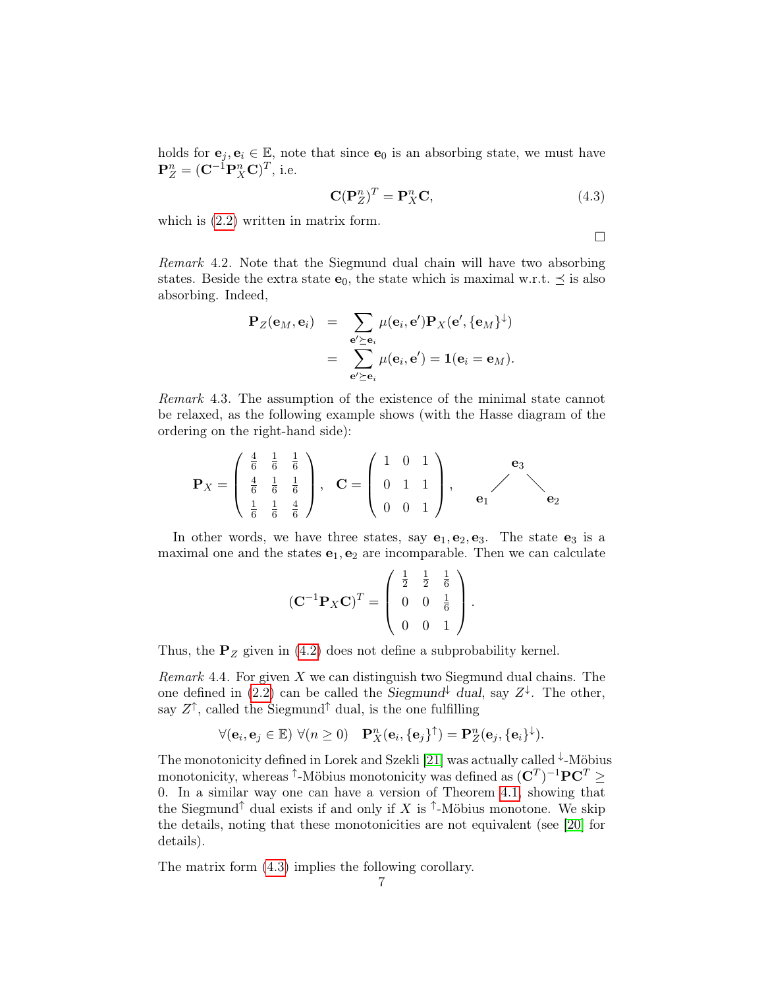holds for  $e_i, e_i \in \mathbb{E}$ , note that since  $e_0$  is an absorbing state, we must have  $\mathbf{P}_{Z}^{n} = (\mathbf{C}^{-1} \mathbf{P}_{X}^{n} \mathbf{C})^{T}$ , i.e.

<span id="page-6-0"></span>
$$
\mathbf{C}(\mathbf{P}_Z^n)^T = \mathbf{P}_X^n \mathbf{C},\tag{4.3}
$$

which is  $(2.2)$  written in matrix form.

 $\Box$ 

Remark 4.2. Note that the Siegmund dual chain will have two absorbing states. Beside the extra state  $e_0$ , the state which is maximal w.r.t.  $\preceq$  is also absorbing. Indeed,

$$
\mathbf{P}_Z(\mathbf{e}_M, \mathbf{e}_i) = \sum_{\substack{\mathbf{e}' \succeq \mathbf{e}_i \\ \mathbf{e}' \succeq \mathbf{e}_i}} \mu(\mathbf{e}_i, \mathbf{e}') \mathbf{P}_X(\mathbf{e}', \{\mathbf{e}_M\}^{\downarrow})
$$
  
= 
$$
\sum_{\substack{\mathbf{e}' \succeq \mathbf{e}_i}}^{\mathbf{e}' \succeq \mathbf{e}_i} \mu(\mathbf{e}_i, \mathbf{e}') = \mathbf{1}(\mathbf{e}_i = \mathbf{e}_M).
$$

Remark 4.3. The assumption of the existence of the minimal state cannot be relaxed, as the following example shows (with the Hasse diagram of the ordering on the right-hand side):

$$
\mathbf{P}_X = \begin{pmatrix} \frac{4}{6} & \frac{1}{6} & \frac{1}{6} \\ \frac{4}{6} & \frac{1}{6} & \frac{1}{6} \\ \frac{1}{6} & \frac{1}{6} & \frac{4}{6} \end{pmatrix}, \quad \mathbf{C} = \begin{pmatrix} 1 & 0 & 1 \\ 0 & 1 & 1 \\ 0 & 0 & 1 \end{pmatrix}, \qquad \mathbf{e}_1 \qquad \mathbf{e}_2
$$

In other words, we have three states, say  $e_1, e_2, e_3$ . The state  $e_3$  is a maximal one and the states  $e_1, e_2$  are incomparable. Then we can calculate

$$
(\mathbf{C}^{-1}\mathbf{P}_X\mathbf{C})^T = \begin{pmatrix} \frac{1}{2} & \frac{1}{2} & \frac{1}{6} \\ 0 & 0 & \frac{1}{6} \\ 0 & 0 & 1 \end{pmatrix}.
$$

Thus, the  $P_Z$  given in [\(4.2\)](#page-5-1) does not define a subprobability kernel.

Remark 4.4. For given  $X$  we can distinguish two Siegmund dual chains. The one defined in [\(2.2\)](#page-3-1) can be called the Siegmund<sup> $\downarrow$ </sup> dual, say  $Z^{\downarrow}$ . The other, say  $Z^{\uparrow}$ , called the Siegmund<sup>†</sup> dual, is the one fulfilling

$$
\forall (\mathbf{e}_i, \mathbf{e}_j \in \mathbb{E}) \ \forall (n \geq 0) \quad \mathbf{P}_X^n(\mathbf{e}_i, \{\mathbf{e}_j\}^\uparrow) = \mathbf{P}_Z^n(\mathbf{e}_j, \{\mathbf{e}_i\}^\downarrow).
$$

The monotonicity defined in Lorek and Szekli [\[21\]](#page-28-1) was actually called  $\downarrow$ -Möbius monotonicity, whereas <sup>↑</sup>-Möbius monotonicity was defined as  $({\bf C}^T)^{-1}{\bf P}{\bf C}^T\geq$ 0. In a similar way one can have a version of Theorem [4.1,](#page-5-2) showing that the Siegmund<sup>†</sup> dual exists if and only if X is <sup> $†$ </sup>-Möbius monotone. We skip the details, noting that these monotonicities are not equivalent (see [\[20\]](#page-28-14) for details).

The matrix form [\(4.3\)](#page-6-0) implies the following corollary.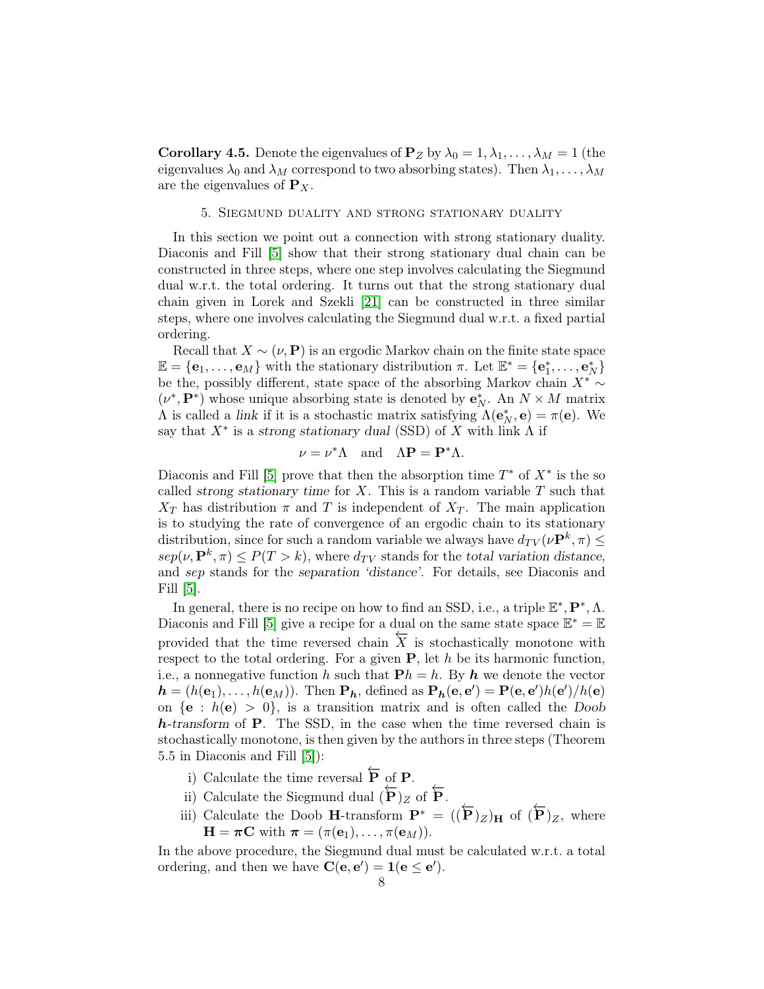<span id="page-7-1"></span>**Corollary 4.5.** Denote the eigenvalues of  $P_Z$  by  $\lambda_0 = 1, \lambda_1, \ldots, \lambda_M = 1$  (the eigenvalues  $\lambda_0$  and  $\lambda_M$  correspond to two absorbing states). Then  $\lambda_1, \ldots, \lambda_M$ are the eigenvalues of  $P_X$ .

### 5. Siegmund duality and strong stationary duality

<span id="page-7-0"></span>In this section we point out a connection with strong stationary duality. Diaconis and Fill [\[5\]](#page-28-5) show that their strong stationary dual chain can be constructed in three steps, where one step involves calculating the Siegmund dual w.r.t. the total ordering. It turns out that the strong stationary dual chain given in Lorek and Szekli [\[21\]](#page-28-1) can be constructed in three similar steps, where one involves calculating the Siegmund dual w.r.t. a fixed partial ordering.

Recall that  $X \sim (\nu, \mathbf{P})$  is an ergodic Markov chain on the finite state space  $\mathbb{E} = {\mathbf{e}_1, \ldots, \mathbf{e}_M}$  with the stationary distribution  $\pi$ . Let  $\mathbb{E}^* = {\mathbf{e}_1^*, \ldots, \mathbf{e}_N^*}$ be the, possibly different, state space of the absorbing Markov chain  $X^* \sim$  $(\nu^*, {\bf P}^*)$  whose unique absorbing state is denoted by  ${\bf e}_N^*.$  An  $N\times M$  matrix  $\Lambda$  is called a link if it is a stochastic matrix satisfying  $\Lambda(\mathbf{e}_N^*, \mathbf{e}) = \pi(\mathbf{e})$ . We say that  $X^*$  is a strong stationary dual (SSD) of X with link  $\Lambda$  if

$$
\nu = \nu^* \Lambda \quad \text{and} \quad \Lambda \mathbf{P} = \mathbf{P}^* \Lambda.
$$

Diaconis and Fill [\[5\]](#page-28-5) prove that then the absorption time  $T^*$  of  $X^*$  is the so called strong stationary time for  $X$ . This is a random variable  $T$  such that  $X_T$  has distribution  $\pi$  and T is independent of  $X_T$ . The main application is to studying the rate of convergence of an ergodic chain to its stationary distribution, since for such a random variable we always have  $d_{TV}(\nu \mathbf{P}^k, \pi) \leq$  $sep(\nu, \mathbf{P}^k, \pi) \leq P(T > k)$ , where  $d_{TV}$  stands for the total variation distance, and sep stands for the separation 'distance'. For details, see Diaconis and Fill [\[5\]](#page-28-5).

In general, there is no recipe on how to find an SSD, i.e., a triple  $\mathbb{E}^*, \mathbf{P}^*, \Lambda$ . Diaconis and Fill [\[5\]](#page-28-5) give a recipe for a dual on the same state space  $\mathbb{E}^* = \mathbb{E}$ provided that the time reversed chain  $\overline{X}$  is stochastically monotone with respect to the total ordering. For a given  $P$ , let h be its harmonic function, i.e., a nonnegative function h such that  $\mathbf{P}h = h$ . By h we denote the vector  $h = (h(\mathbf{e}_1), \dots, h(\mathbf{e}_M))$ . Then  $\mathbf{P}_h$ , defined as  $\mathbf{P}_h(\mathbf{e}, \mathbf{e}') = \mathbf{P}(\mathbf{e}, \mathbf{e}')h(\mathbf{e}')/h(\mathbf{e})$ on  ${e : h(e) > 0}$ , is a transition matrix and is often called the Doob h-transform of P. The SSD, in the case when the time reversed chain is stochastically monotone, is then given by the authors in three steps (Theorem 5.5 in Diaconis and Fill [\[5\]](#page-28-5)):

- i) Calculate the time reversal  $\overleftarrow{P}$  of **P**.
- ii) Calculate the Siegmund dual  $(\overleftarrow{P})_Z$  of  $\overleftarrow{P}$ .
- iii) Calculate the Doob **H**-transform  $\mathbf{P}^* = ((\mathbf{P})_Z)_H$  of  $(\mathbf{P})_Z$ , where  $\mathbf{H} = \boldsymbol{\pi} \mathbf{C}$  with  $\boldsymbol{\pi} = (\pi(\mathbf{e}_1), \dots, \pi(\mathbf{e}_M)).$

In the above procedure, the Siegmund dual must be calculated w.r.t. a total ordering, and then we have  $\mathbf{C}(\mathbf{e}, \mathbf{e}') = \mathbf{1}(\mathbf{e} \leq \mathbf{e}')$ .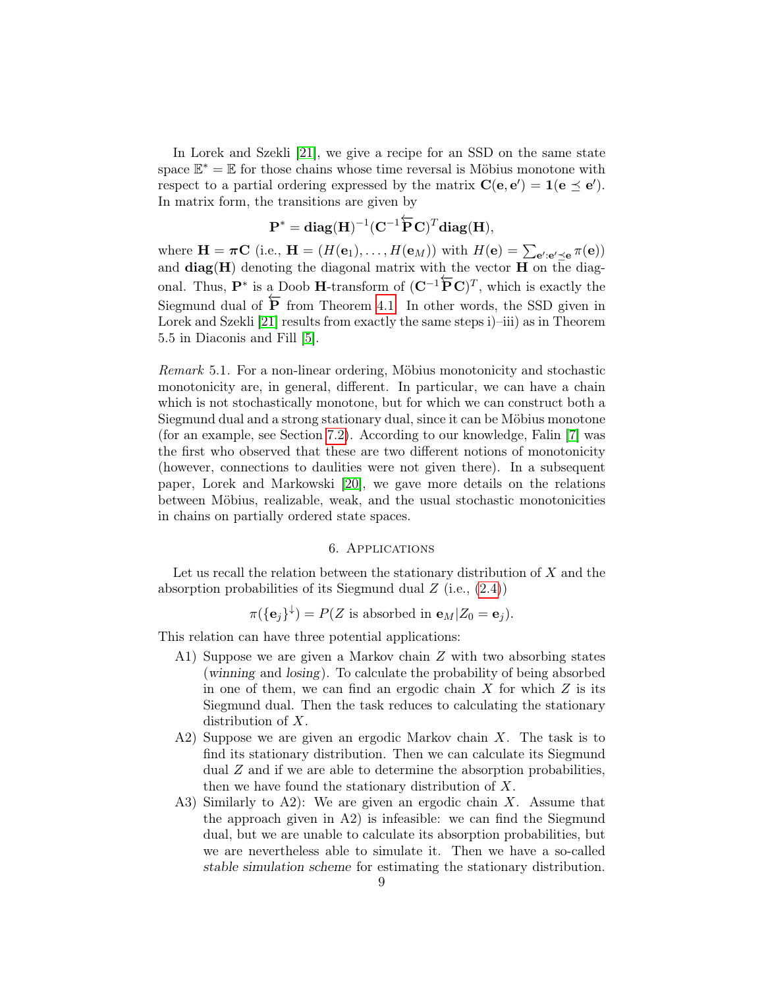In Lorek and Szekli [\[21\]](#page-28-1), we give a recipe for an SSD on the same state space  $\mathbb{E}^* = \mathbb{E}$  for those chains whose time reversal is Möbius monotone with respect to a partial ordering expressed by the matrix  $\mathbf{C}(\mathbf{e}, \mathbf{e}') = \mathbf{1}(\mathbf{e} \preceq \mathbf{e}')$ . In matrix form, the transitions are given by

$$
\mathbf{P}^* = \mathbf{diag}(\mathbf{H})^{-1}(\mathbf{C}^{-1}\overleftarrow{\mathbf{P}}\mathbf{C})^T\mathbf{diag}(\mathbf{H}),
$$

where  $\mathbf{H} = \pi \mathbf{C}$  (i.e.,  $\mathbf{H} = (H(\mathbf{e}_1), \dots, H(\mathbf{e}_M))$  with  $H(\mathbf{e}) = \sum_{\mathbf{e}': \mathbf{e}' \preceq \mathbf{e}} \pi(\mathbf{e})$ ) and  $diag(H)$  denoting the diagonal matrix with the vector  $H$  on the diagonal. Thus,  $\mathbf{P}^*$  is a Doob H-transform of  $(\mathbf{C}^{-1}\mathbf{\overline{P}C})^T$ , which is exactly the Siegmund dual of  $\overline{P}$  from Theorem [4.1.](#page-5-2) In other words, the SSD given in Lorek and Szekli [\[21\]](#page-28-1) results from exactly the same steps i)–iii) as in Theorem 5.5 in Diaconis and Fill [\[5\]](#page-28-5).

Remark 5.1. For a non-linear ordering, Möbius monotonicity and stochastic monotonicity are, in general, different. In particular, we can have a chain which is not stochastically monotone, but for which we can construct both a Siegmund dual and a strong stationary dual, since it can be Möbius monotone (for an example, see Section [7.2\)](#page-26-0). According to our knowledge, Falin [\[7\]](#page-28-15) was the first who observed that these are two different notions of monotonicity (however, connections to daulities were not given there). In a subsequent paper, Lorek and Markowski [\[20\]](#page-28-14), we gave more details on the relations between Möbius, realizable, weak, and the usual stochastic monotonicities in chains on partially ordered state spaces.

## 6. Applications

<span id="page-8-0"></span>Let us recall the relation between the stationary distribution of  $X$  and the absorption probabilities of its Siegmund dual  $Z$  (i.e.,  $(2.4)$ )

$$
\pi(\{\mathbf{e}_j\}^{\downarrow}) = P(Z \text{ is absorbed in } \mathbf{e}_M | Z_0 = \mathbf{e}_j).
$$

This relation can have three potential applications:

- A1) Suppose we are given a Markov chain Z with two absorbing states (winning and losing). To calculate the probability of being absorbed in one of them, we can find an ergodic chain  $X$  for which  $Z$  is its Siegmund dual. Then the task reduces to calculating the stationary distribution of X.
- A2) Suppose we are given an ergodic Markov chain  $X$ . The task is to find its stationary distribution. Then we can calculate its Siegmund dual Z and if we are able to determine the absorption probabilities, then we have found the stationary distribution of  $X$ .
- A3) Similarly to A2): We are given an ergodic chain X. Assume that the approach given in A2) is infeasible: we can find the Siegmund dual, but we are unable to calculate its absorption probabilities, but we are nevertheless able to simulate it. Then we have a so-called stable simulation scheme for estimating the stationary distribution.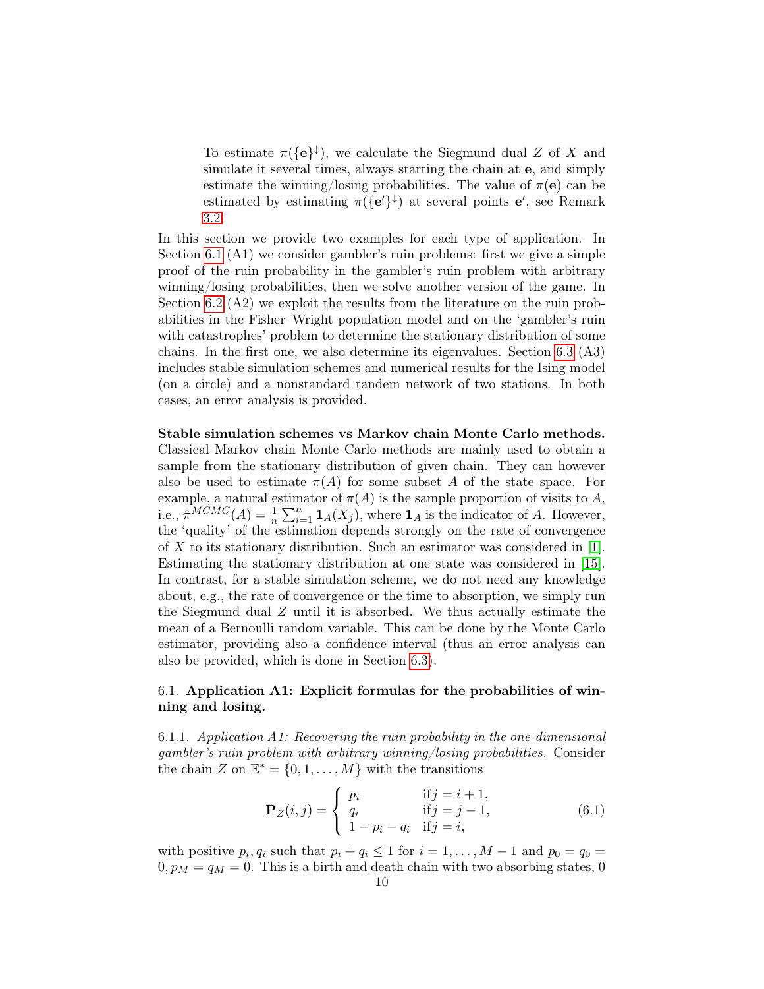To estimate  $\pi({\{\mathbf{e}}^{\}})$ , we calculate the Siegmund dual Z of X and simulate it several times, always starting the chain at e, and simply estimate the winning/losing probabilities. The value of  $\pi(e)$  can be estimated by estimating  $\pi({\{\mathbf{e}'\}})$  at several points  $\mathbf{e}'$ , see Remark [3.2.](#page-4-4)

In this section we provide two examples for each type of application. In Section [6.1](#page-9-0) (A1) we consider gambler's ruin problems: first we give a simple proof of the ruin probability in the gambler's ruin problem with arbitrary winning/losing probabilities, then we solve another version of the game. In Section [6.2](#page-13-0) (A2) we exploit the results from the literature on the ruin probabilities in the Fisher–Wright population model and on the 'gambler's ruin with catastrophes' problem to determine the stationary distribution of some chains. In the first one, we also determine its eigenvalues. Section [6.3](#page-16-0) (A3) includes stable simulation schemes and numerical results for the Ising model (on a circle) and a nonstandard tandem network of two stations. In both cases, an error analysis is provided.

### Stable simulation schemes vs Markov chain Monte Carlo methods.

Classical Markov chain Monte Carlo methods are mainly used to obtain a sample from the stationary distribution of given chain. They can however also be used to estimate  $\pi(A)$  for some subset A of the state space. For example, a natural estimator of  $\pi(A)$  is the sample proportion of visits to A, i.e.,  $\hat{\pi}^{MCMC}(A) = \frac{1}{n} \sum_{i=1}^{n} \mathbf{1}_A(X_i)$ , where  $\mathbf{1}_A$  is the indicator of A. However, the 'quality' of the estimation depends strongly on the rate of convergence of X to its stationary distribution. Such an estimator was considered in [\[1\]](#page-28-16). Estimating the stationary distribution at one state was considered in [\[15\]](#page-28-17). In contrast, for a stable simulation scheme, we do not need any knowledge about, e.g., the rate of convergence or the time to absorption, we simply run the Siegmund dual Z until it is absorbed. We thus actually estimate the mean of a Bernoulli random variable. This can be done by the Monte Carlo estimator, providing also a confidence interval (thus an error analysis can also be provided, which is done in Section [6.3\)](#page-16-0).

# <span id="page-9-0"></span>6.1. Application A1: Explicit formulas for the probabilities of winning and losing.

6.1.1. Application A1: Recovering the ruin probability in the one-dimensional gambler's ruin problem with arbitrary winning/losing probabilities. Consider the chain Z on  $\mathbb{E}^* = \{0, 1, \ldots, M\}$  with the transitions

<span id="page-9-1"></span>
$$
\mathbf{P}_Z(i,j) = \begin{cases} p_i & \text{if } j = i+1, \\ q_i & \text{if } j = j-1, \\ 1 - p_i - q_i & \text{if } j = i, \end{cases}
$$
(6.1)

with positive  $p_i, q_i$  such that  $p_i + q_i \leq 1$  for  $i = 1, ..., M - 1$  and  $p_0 = q_0 =$  $0, p_M = q_M = 0$ . This is a birth and death chain with two absorbing states, 0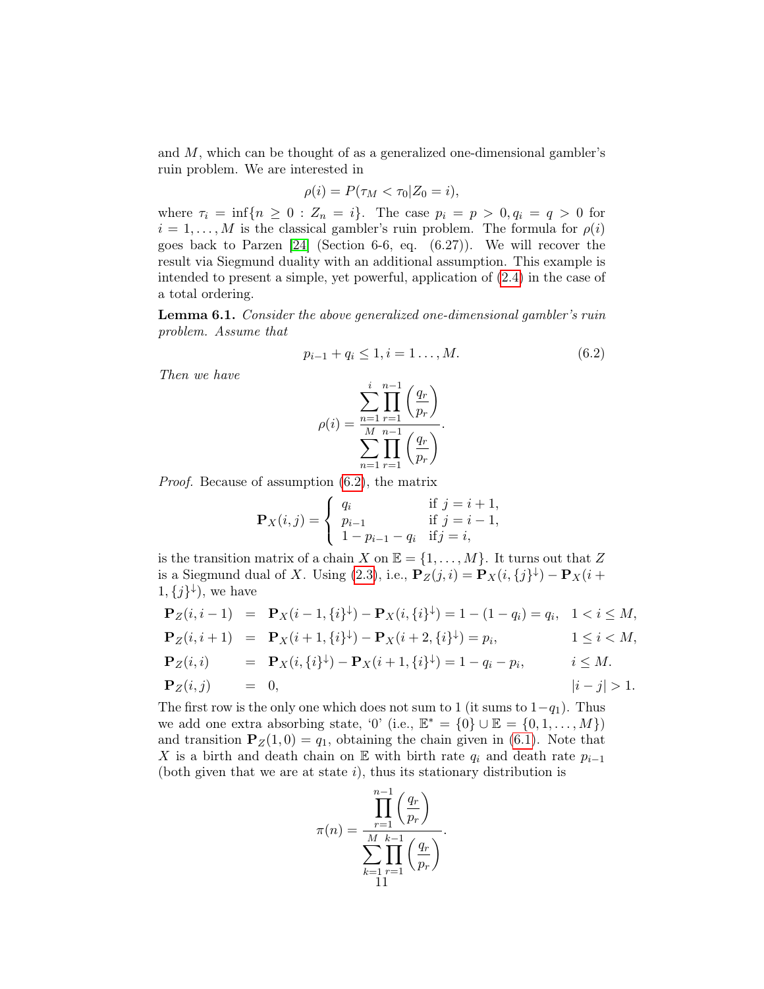and M, which can be thought of as a generalized one-dimensional gambler's ruin problem. We are interested in

$$
\rho(i) = P(\tau_M < \tau_0 | Z_0 = i),
$$

where  $\tau_i = \inf\{n \ge 0 : Z_n = i\}$ . The case  $p_i = p > 0, q_i = q > 0$  for  $i = 1, \ldots, M$  is the classical gambler's ruin problem. The formula for  $\rho(i)$ goes back to Parzen [\[24\]](#page-28-18) (Section 6-6, eq. (6.27)). We will recover the result via Siegmund duality with an additional assumption. This example is intended to present a simple, yet powerful, application of [\(2.4\)](#page-4-0) in the case of a total ordering.

Lemma 6.1. Consider the above generalized one-dimensional gambler's ruin problem. Assume that

<span id="page-10-0"></span>
$$
p_{i-1} + q_i \le 1, i = 1 \dots, M. \tag{6.2}
$$

Then we have

$$
\rho(i) = \frac{\sum_{n=1}^{i} \prod_{r=1}^{n-1} \left( \frac{q_r}{p_r} \right)}{\sum_{n=1}^{M} \prod_{r=1}^{n-1} \left( \frac{q_r}{p_r} \right)}.
$$

Proof. Because of assumption [\(6.2\)](#page-10-0), the matrix

$$
\mathbf{P}_X(i,j) = \begin{cases} q_i & \text{if } j = i+1, \\ p_{i-1} & \text{if } j = i-1, \\ 1 - p_{i-1} - q_i & \text{if } j = i, \end{cases}
$$

is the transition matrix of a chain X on  $\mathbb{E} = \{1, \ldots, M\}$ . It turns out that Z is a Siegmund dual of X. Using [\(2.3\)](#page-3-2), i.e.,  $\mathbf{P}_Z(j,i) = \mathbf{P}_X(i, \{j\}^{\downarrow}) - \mathbf{P}_X(i +$  $1,\{j\}^{\downarrow}$ , we have

$$
\begin{aligned}\n\mathbf{P}_Z(i, i-1) &= \mathbf{P}_X(i-1, \{i\}^{\downarrow}) - \mathbf{P}_X(i, \{i\}^{\downarrow}) = 1 - (1 - q_i) = q_i, \quad 1 < i \le M, \\
\mathbf{P}_Z(i, i+1) &= \mathbf{P}_X(i+1, \{i\}^{\downarrow}) - \mathbf{P}_X(i+2, \{i\}^{\downarrow}) = p_i, \quad 1 \le i < M, \\
\mathbf{P}_Z(i, i) &= \mathbf{P}_X(i, \{i\}^{\downarrow}) - \mathbf{P}_X(i+1, \{i\}^{\downarrow}) = 1 - q_i - p_i, \quad i \le M. \\
\mathbf{P}_Z(i, j) &= 0, \quad |i - j| > 1.\n\end{aligned}
$$

The first row is the only one which does not sum to 1 (it sums to  $1-q_1$ ). Thus we add one extra absorbing state, '0' (i.e.,  $\mathbb{E}^* = \{0\} \cup \mathbb{E} = \{0, 1, \ldots, M\}$ ) and transition  $P_Z(1, 0) = q_1$ , obtaining the chain given in [\(6.1\)](#page-9-1). Note that X is a birth and death chain on E with birth rate  $q_i$  and death rate  $p_{i-1}$ (both given that we are at state  $i$ ), thus its stationary distribution is

$$
\pi(n) = \frac{\prod_{r=1}^{n-1} \left(\frac{q_r}{p_r}\right)}{\sum_{k=1}^{M} \prod_{r=1}^{k-1} \left(\frac{q_r}{p_r}\right)}.
$$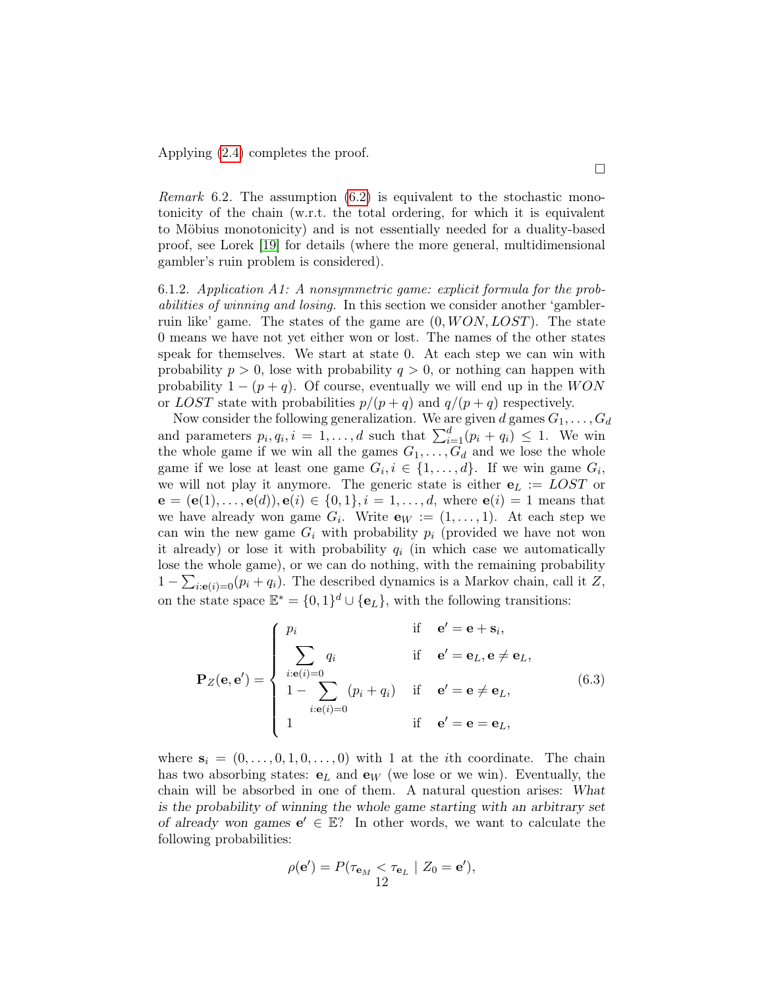Applying [\(2.4\)](#page-4-0) completes the proof.

*Remark* 6.2. The assumption  $(6.2)$  is equivalent to the stochastic monotonicity of the chain (w.r.t. the total ordering, for which it is equivalent to Möbius monotonicity) and is not essentially needed for a duality-based proof, see Lorek [\[19\]](#page-28-19) for details (where the more general, multidimensional gambler's ruin problem is considered).

6.1.2. Application A1: A nonsymmetric game: explicit formula for the probabilities of winning and losing. In this section we consider another 'gamblerruin like' game. The states of the game are  $(0, WON, LOST)$ . The state 0 means we have not yet either won or lost. The names of the other states speak for themselves. We start at state 0. At each step we can win with probability  $p > 0$ , lose with probability  $q > 0$ , or nothing can happen with probability  $1 - (p + q)$ . Of course, eventually we will end up in the WON or LOST state with probabilities  $p/(p+q)$  and  $q/(p+q)$  respectively.

Now consider the following generalization. We are given d games  $G_1, \ldots, G_d$ and parameters  $p_i, q_i, i = 1, ..., d$  such that  $\sum_{i=1}^{d} (p_i + q_i) \leq 1$ . We win the whole game if we win all the games  $G_1, \ldots, G_d$  and we lose the whole game if we lose at least one game  $G_i, i \in \{1, ..., d\}$ . If we win game  $G_i$ , we will not play it anymore. The generic state is either  $e_L :=$  LOST or  $e = (e(1), \ldots, e(d)), e(i) \in \{0, 1\}, i = 1, \ldots, d$ , where  $e(i) = 1$  means that we have already won game  $G_i$ . Write  $\mathbf{e}_W := (1, \ldots, 1)$ . At each step we can win the new game  $G_i$  with probability  $p_i$  (provided we have not won it already) or lose it with probability  $q_i$  (in which case we automatically lose the whole game), or we can do nothing, with the remaining probability  $1 - \sum_{i: e(i)=0} (p_i + q_i)$ . The described dynamics is a Markov chain, call it Z, on the state space  $\mathbb{E}^* = \{0,1\}^d \cup \{\mathbf{e}_L\}$ , with the following transitions:

<span id="page-11-0"></span>
$$
\mathbf{P}_{Z}(\mathbf{e}, \mathbf{e}') = \begin{cases} p_i & \text{if } \mathbf{e}' = \mathbf{e} + \mathbf{s}_i, \\ \sum_{i: \mathbf{e}(i) = 0} q_i & \text{if } \mathbf{e}' = \mathbf{e}_L, \mathbf{e} \neq \mathbf{e}_L, \\ 1 - \sum_{i: \mathbf{e}(i) = 0} (p_i + q_i) & \text{if } \mathbf{e}' = \mathbf{e} \neq \mathbf{e}_L, \\ 1 & \text{if } \mathbf{e}' = \mathbf{e} = \mathbf{e}_L, \end{cases} (6.3)
$$

where  $s_i = (0, \ldots, 0, 1, 0, \ldots, 0)$  with 1 at the *i*th coordinate. The chain has two absorbing states:  $e_L$  and  $e_W$  (we lose or we win). Eventually, the chain will be absorbed in one of them. A natural question arises: What is the probability of winning the whole game starting with an arbitrary set of already won games  $e' \in \mathbb{E}$ ? In other words, we want to calculate the following probabilities:

$$
\rho(\mathbf{e}') = P(\tau_{\mathbf{e}_M} < \tau_{\mathbf{e}_L} \mid Z_0 = \mathbf{e}'),
$$
\n
$$
12
$$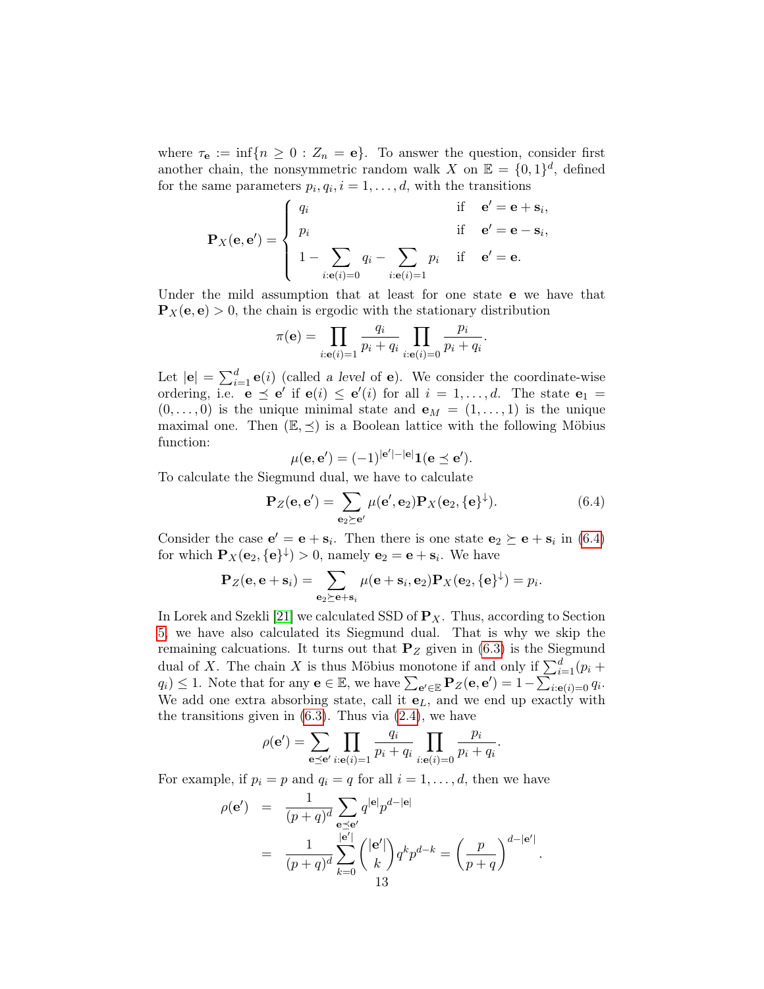where  $\tau_{\mathbf{e}} := \inf \{ n \geq 0 : Z_n = \mathbf{e} \}.$  To answer the question, consider first another chain, the nonsymmetric random walk X on  $\mathbb{E} = \{0,1\}^d$ , defined for the same parameters  $p_i, q_i, i = 1, \ldots, d$ , with the transitions

$$
\mathbf{P}_X(\mathbf{e}, \mathbf{e}') = \begin{cases} q_i & \text{if } \mathbf{e}' = \mathbf{e} + \mathbf{s}_i, \\ p_i & \text{if } \mathbf{e}' = \mathbf{e} - \mathbf{s}_i, \\ 1 - \sum_{i: \mathbf{e}(i) = 0} q_i - \sum_{i: \mathbf{e}(i) = 1} p_i & \text{if } \mathbf{e}' = \mathbf{e}. \end{cases}
$$

Under the mild assumption that at least for one state e we have that  $\mathbf{P}_X(\mathbf{e}, \mathbf{e}) > 0$ , the chain is ergodic with the stationary distribution

$$
\pi(\mathbf{e}) = \prod_{i:\mathbf{e}(i)=1} \frac{q_i}{p_i + q_i} \prod_{i:\mathbf{e}(i)=0} \frac{p_i}{p_i + q_i}.
$$

Let  $|\mathbf{e}| = \sum_{i=1}^{d} \mathbf{e}(i)$  (called a level of **e**). We consider the coordinate-wise ordering, i.e.  $\mathbf{e} \preceq \mathbf{e}'$  if  $\mathbf{e}(i) \preceq \mathbf{e}'(i)$  for all  $i = 1, \ldots, d$ . The state  $\mathbf{e}_1 =$  $(0, \ldots, 0)$  is the unique minimal state and  $e_M = (1, \ldots, 1)$  is the unique maximal one. Then  $(\mathbb{E}, \preceq)$  is a Boolean lattice with the following Möbius function: 00 Aug 2010

<span id="page-12-0"></span>
$$
\mu(\mathbf{e}, \mathbf{e}') = (-1)^{|\mathbf{e}'| - |\mathbf{e}|} \mathbf{1}(\mathbf{e} \preceq \mathbf{e}').
$$

To calculate the Siegmund dual, we have to calculate

$$
\mathbf{P}_Z(\mathbf{e}, \mathbf{e}') = \sum_{\mathbf{e}_2 \succeq \mathbf{e}'} \mu(\mathbf{e}', \mathbf{e}_2) \mathbf{P}_X(\mathbf{e}_2, \{\mathbf{e}\}^\downarrow). \tag{6.4}
$$

Consider the case  $\mathbf{e}' = \mathbf{e} + \mathbf{s}_i$ . Then there is one state  $\mathbf{e}_2 \succeq \mathbf{e} + \mathbf{s}_i$  in [\(6.4\)](#page-12-0) for which  $\mathbf{P}_X(\mathbf{e}_2, {\{\mathbf{e}\}}^\downarrow) > 0$ , namely  $\mathbf{e}_2 = \mathbf{e} + \mathbf{s}_i$ . We have

$$
\mathbf{P}_Z(\mathbf{e}, \mathbf{e} + \mathbf{s}_i) = \sum_{\mathbf{e}_2 \succeq \mathbf{e} + \mathbf{s}_i} \mu(\mathbf{e} + \mathbf{s}_i, \mathbf{e}_2) \mathbf{P}_X(\mathbf{e}_2, \{\mathbf{e}\}^{\downarrow}) = p_i.
$$

In Lorek and Szekli [\[21\]](#page-28-1) we calculated SSD of  $P_X$ . Thus, according to Section [5,](#page-7-0) we have also calculated its Siegmund dual. That is why we skip the remaining calcuations. It turns out that  $P_Z$  given in [\(6.3\)](#page-11-0) is the Siegmund dual of X. The chain X is thus Möbius monotone if and only if  $\sum_{i=1}^{d} (p_i +$  $q_i) \leq 1$ . Note that for any  $\mathbf{e} \in \mathbb{E}$ , we have  $\sum_{\mathbf{e'} \in \mathbb{E}} \mathbf{P}_Z(\mathbf{e}, \mathbf{e'}) = 1 - \sum_{i=\mathbf{e}}^{i-1} \mathbb{E} \mathbb{E} \mathbb{E} \mathbb{E} \mathbb{E} \mathbb{E} \mathbb{E} \mathbb{E} \mathbb{E} \mathbb{E} \mathbb{E} \mathbb{E} \mathbb{E} \mathbb{E} \mathbb{E} \mathbb{E} \mathbb{E} \mathbb{E} \$ We add one extra absorbing state, call it  $e<sub>L</sub>$ , and we end up exactly with the transitions given in  $(6.3)$ . Thus via  $(2.4)$ , we have

$$
\rho(\mathbf{e}') = \sum_{\mathbf{e} \preceq \mathbf{e}'} \prod_{i:\mathbf{e}(i)=1} \frac{q_i}{p_i + q_i} \prod_{i:\mathbf{e}(i)=0} \frac{p_i}{p_i + q_i}.
$$

For example, if  $p_i = p$  and  $q_i = q$  for all  $i = 1, \ldots, d$ , then we have

$$
\rho(\mathbf{e}') = \frac{1}{(p+q)^d} \sum_{\substack{\mathbf{e} \preceq \mathbf{e}' \\ |\mathbf{e}'|}} q^{|\mathbf{e}|} p^{d-|\mathbf{e}|}
$$
  

$$
= \frac{1}{(p+q)^d} \sum_{k=0}^{|\mathbf{e}'|} {\binom{|\mathbf{e}'|}{k}} q^k p^{d-k} = {\binom{p}{p+q}}^{d-|\mathbf{e}'|}.
$$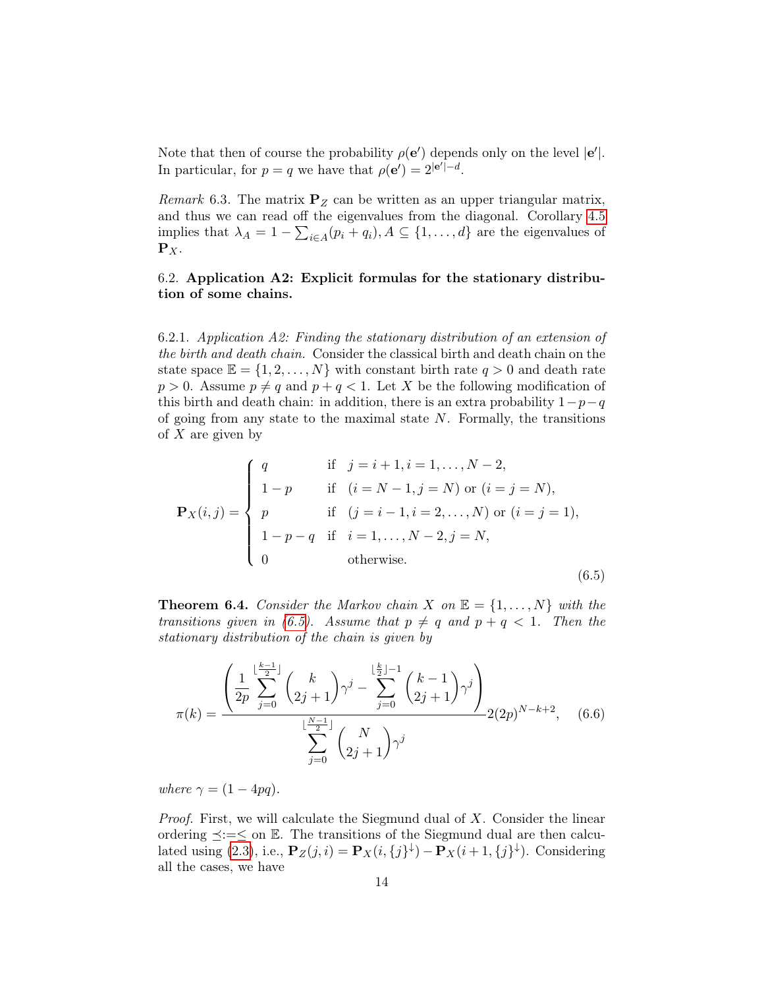Note that then of course the probability  $\rho(e')$  depends only on the level  $|e'|$ . In particular, for  $p = q$  we have that  $\rho(e') = 2^{|e'|-d}$ .

*Remark* 6.3. The matrix  $P_Z$  can be written as an upper triangular matrix, and thus we can read off the eigenvalues from the diagonal. Corollary [4.5](#page-7-1) implies that  $\lambda_A = 1 - \sum_{i \in A} (p_i + q_i), A \subseteq \{1, ..., d\}$  are the eigenvalues of  $\mathbf{P}_X$ .

# <span id="page-13-0"></span>6.2. Application A2: Explicit formulas for the stationary distribution of some chains.

6.2.1. Application A2: Finding the stationary distribution of an extension of the birth and death chain. Consider the classical birth and death chain on the state space  $\mathbb{E} = \{1, 2, ..., N\}$  with constant birth rate  $q > 0$  and death rate  $p > 0$ . Assume  $p \neq q$  and  $p + q < 1$ . Let X be the following modification of this birth and death chain: in addition, there is an extra probability  $1-p-q$ of going from any state to the maximal state  $N$ . Formally, the transitions of  $X$  are given by

<span id="page-13-1"></span>
$$
\mathbf{P}_X(i,j) = \begin{cases}\nq & \text{if } j = i+1, i = 1, ..., N-2, \\
1-p & \text{if } (i = N-1, j = N) \text{ or } (i = j = N), \\
p & \text{if } (j = i-1, i = 2, ..., N) \text{ or } (i = j = 1), \\
1-p-q & \text{if } i = 1, ..., N-2, j = N, \\
0 & \text{otherwise.} \n\end{cases}
$$
\n(6.5)

**Theorem 6.4.** Consider the Markov chain X on  $\mathbb{E} = \{1, \ldots, N\}$  with the transitions given in [\(6.5\)](#page-13-1). Assume that  $p \neq q$  and  $p + q < 1$ . Then the stationary distribution of the chain is given by

<span id="page-13-2"></span>
$$
\pi(k) = \frac{\left(\frac{1}{2p} \sum_{j=0}^{\lfloor \frac{k-1}{2} \rfloor} \binom{k}{2j+1} \gamma^j - \sum_{j=0}^{\lfloor \frac{k}{2} \rfloor - 1} \binom{k-1}{2j+1} \gamma^j \right)}{\sum_{j=0}^{\lfloor \frac{N-1}{2} \rfloor} \binom{N}{2j+1} \gamma^j} 2(2p)^{N-k+2}, \quad (6.6)
$$

where  $\gamma = (1 - 4pq)$ .

*Proof.* First, we will calculate the Siegmund dual of  $X$ . Consider the linear ordering  $\preceq:=\leq$  on E. The transitions of the Siegmund dual are then calcu-lated using [\(2.3\)](#page-3-2), i.e.,  $\mathbf{P}_Z(j,i) = \mathbf{P}_X(i, j) + \mathbf{P}_X(i+1, j)$ . Considering all the cases, we have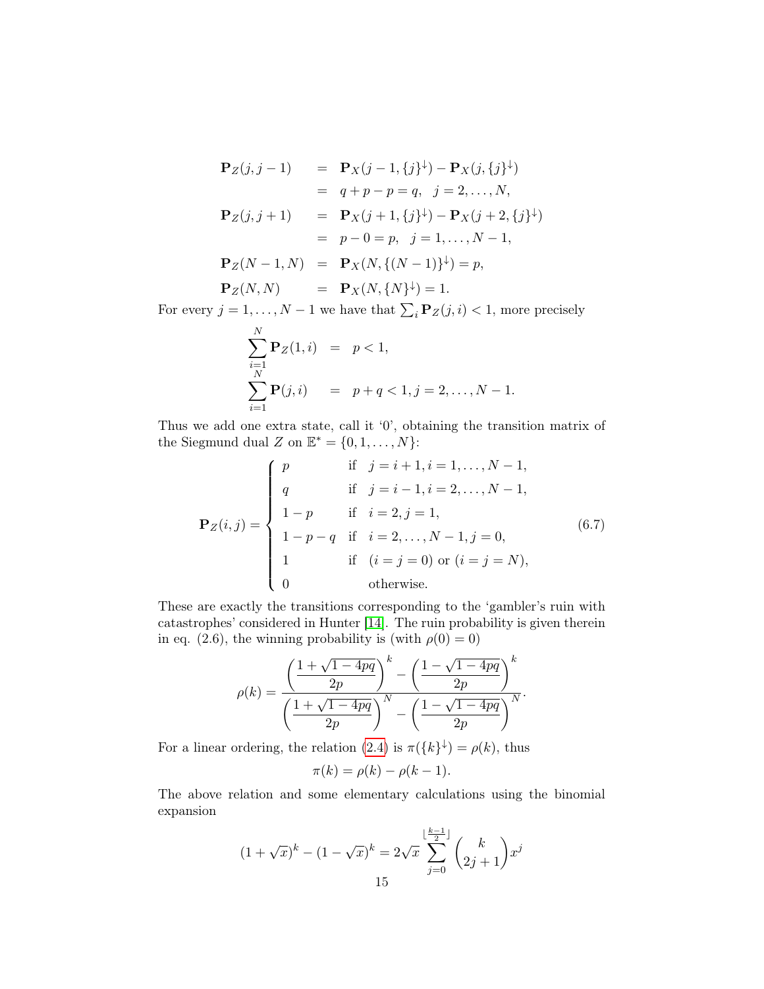$$
\begin{array}{rcl}\n\mathbf{P}_Z(j,j-1) & = & \mathbf{P}_X(j-1,\{j\}^{\downarrow}) - \mathbf{P}_X(j,\{j\}^{\downarrow}) \\
& = & q + p - p = q, \quad j = 2, \dots, N, \\
\mathbf{P}_Z(j,j+1) & = & \mathbf{P}_X(j+1,\{j\}^{\downarrow}) - \mathbf{P}_X(j+2,\{j\}^{\downarrow}) \\
& = & p - 0 = p, \quad j = 1, \dots, N-1, \\
\mathbf{P}_Z(N-1,N) & = & \mathbf{P}_X(N,\{(N-1)\}^{\downarrow}) = p, \\
\mathbf{P}_Z(N,N) & = & \mathbf{P}_X(N,\{N\}^{\downarrow}) = 1.\n\end{array}
$$

For every  $j = 1, ..., N - 1$  we have that  $\sum_i \mathbf{P}_z(j, i) < 1$ , more precisely

$$
\sum_{i=1}^{N} \mathbf{P}_Z(1, i) = p < 1,
$$
  
\n
$$
\sum_{i=1}^{N} \mathbf{P}(j, i) = p + q < 1, j = 2, ..., N - 1.
$$

Thus we add one extra state, call it '0', obtaining the transition matrix of the Siegmund dual Z on  $\mathbb{E}^* = \{0, 1, \ldots, N\}$ :

$$
\mathbf{P}_Z(i,j) = \begin{cases}\np & \text{if } j = i+1, i = 1, \dots, N-1, \\
q & \text{if } j = i-1, i = 2, \dots, N-1, \\
1-p & \text{if } i = 2, j = 1, \\
1-p-q & \text{if } i = 2, \dots, N-1, j = 0, \\
1 & \text{if } (i = j = 0) \text{ or } (i = j = N), \\
0 & \text{otherwise.} \n\end{cases}
$$
\n(6.7)

These are exactly the transitions corresponding to the 'gambler's ruin with catastrophes' considered in Hunter [\[14\]](#page-28-2). The ruin probability is given therein in eq. (2.6), the winning probability is (with  $\rho(0) = 0$ )

$$
\rho(k) = \frac{\left(\frac{1+\sqrt{1-4pq}}{2p}\right)^k - \left(\frac{1-\sqrt{1-4pq}}{2p}\right)^k}{\left(\frac{1+\sqrt{1-4pq}}{2p}\right)^N - \left(\frac{1-\sqrt{1-4pq}}{2p}\right)^N}.
$$

For a linear ordering, the relation [\(2.4\)](#page-4-0) is  $\pi({k}^{\downarrow}) = \rho(k)$ , thus

$$
\pi(k) = \rho(k) - \rho(k-1).
$$

The above relation and some elementary calculations using the binomial expansion

$$
(1 + \sqrt{x})^{k} - (1 - \sqrt{x})^{k} = 2\sqrt{x} \sum_{j=0}^{\lfloor \frac{k-1}{2} \rfloor} {k \choose 2j+1} x^{j}
$$
  
15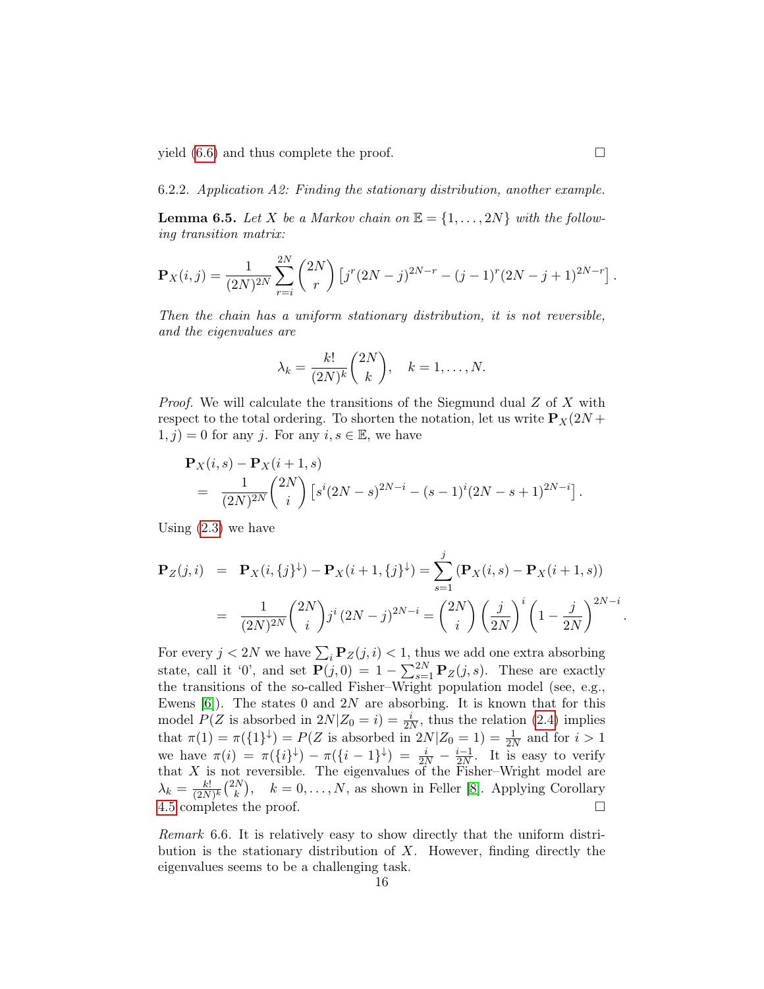yield  $(6.6)$  and thus complete the proof.

6.2.2. Application A2: Finding the stationary distribution, another example.

**Lemma 6.5.** Let X be a Markov chain on  $\mathbb{E} = \{1, \ldots, 2N\}$  with the following transition matrix:

$$
\mathbf{P}_X(i,j) = \frac{1}{(2N)^{2N}} \sum_{r=i}^{2N} {2N \choose r} \left[ j^r (2N-j)^{2N-r} - (j-1)^r (2N-j+1)^{2N-r} \right].
$$

Then the chain has a uniform stationary distribution, it is not reversible, and the eigenvalues are

$$
\lambda_k = \frac{k!}{(2N)^k} \binom{2N}{k}, \quad k = 1, \dots, N.
$$

*Proof.* We will calculate the transitions of the Siegmund dual  $Z$  of  $X$  with respect to the total ordering. To shorten the notation, let us write  $P_X(2N +$  $(1, j) = 0$  for any j. For any  $i, s \in \mathbb{E}$ , we have

$$
\mathbf{P}_X(i,s) - \mathbf{P}_X(i+1,s) \n= \frac{1}{(2N)^{2N}} {2N \choose i} [s^i (2N-s)^{2N-i} - (s-1)^i (2N-s+1)^{2N-i}].
$$

Using  $(2.3)$  we have

$$
\mathbf{P}_Z(j,i) = \mathbf{P}_X(i,\{j\}^{\downarrow}) - \mathbf{P}_X(i+1,\{j\}^{\downarrow}) = \sum_{s=1}^j (\mathbf{P}_X(i,s) - \mathbf{P}_X(i+1,s))
$$

$$
= \frac{1}{(2N)^{2N}} {2N \choose i} j^i (2N-j)^{2N-i} = {2N \choose i} \left(\frac{j}{2N}\right)^i \left(1 - \frac{j}{2N}\right)^{2N-i}
$$

For every  $j < 2N$  we have  $\sum_i \mathbf{P}_z(j, i) < 1$ , thus we add one extra absorbing state, call it '0', and set  $\mathbf{P}(j,0) = 1 - \sum_{s=1}^{2N} \mathbf{P}_z(j,s)$ . These are exactly the transitions of the so-called Fisher–Wright population model (see, e.g., Ewens  $[6]$ . The states 0 and 2N are absorbing. It is known that for this model  $P(Z \text{ is absorbed in } 2N | Z_0 = i) = \frac{i}{2N}$ , thus the relation [\(2.4\)](#page-4-0) implies that  $\pi(1) = \pi({1}^{\downarrow}) = P(Z \text{ is absorbed in } 2N | Z_0 = 1) = \frac{1}{2N}$  and for  $i > 1$ we have  $\pi(i) = \pi(\{i\}^{\downarrow}) - \pi(\{i-1\}^{\downarrow}) = \frac{i}{2N} - \frac{i-1}{2N}$  $\frac{i-1}{2N}$ . It is easy to verify that  $X$  is not reversible. The eigenvalues of the Fisher–Wright model are  $\lambda_k = \frac{k!}{(2N)!}$  $\frac{k!}{(2N)^k}$  $\binom{2N}{k}$  $(k)$ ,  $k = 0, ..., N$ , as shown in Feller [\[8\]](#page-28-21). Applying Corollary [4.5](#page-7-1) completes the proof.

Remark 6.6. It is relatively easy to show directly that the uniform distribution is the stationary distribution of  $X$ . However, finding directly the eigenvalues seems to be a challenging task.

.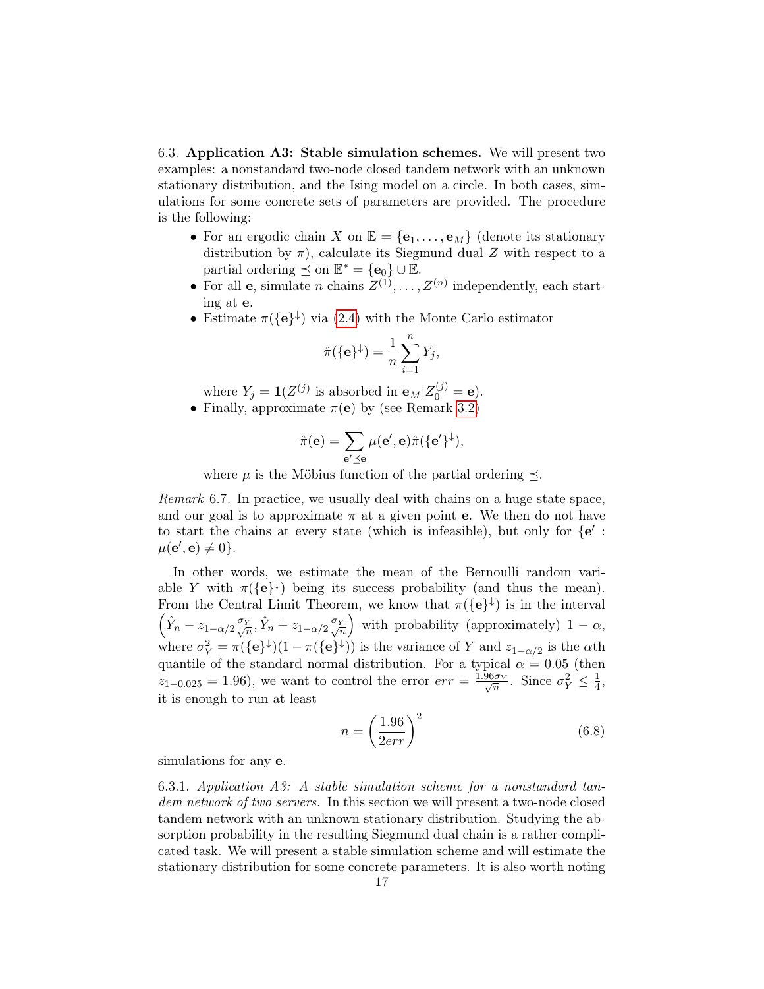<span id="page-16-0"></span>6.3. Application A3: Stable simulation schemes. We will present two examples: a nonstandard two-node closed tandem network with an unknown stationary distribution, and the Ising model on a circle. In both cases, simulations for some concrete sets of parameters are provided. The procedure is the following:

- For an ergodic chain X on  $\mathbb{E} = {\mathbf{e}_1, \dots, \mathbf{e}_M}$  (denote its stationary distribution by  $\pi$ ), calculate its Siegmund dual Z with respect to a partial ordering  $\preceq$  on  $\mathbb{E}^* = {\mathbf{e}_0} \cup \mathbb{E}$ .
- For all **e**, simulate *n* chains  $Z^{(1)}, \ldots, Z^{(n)}$  independently, each starting at e.
- Estimate  $\pi({\bf e}^{\downarrow})$  via [\(2.4\)](#page-4-0) with the Monte Carlo estimator

$$
\hat{\pi}(\{\mathbf{e}\}^{\downarrow}) = \frac{1}{n} \sum_{i=1}^{n} Y_j,
$$

where  $Y_j = \mathbf{1}(Z^{(j)}$  is absorbed in  $\mathbf{e}_M | Z_0^{(j)} = \mathbf{e}$ . • Finally, approximate  $\pi(e)$  by (see Remark [3.2\)](#page-4-4)

$$
\hat{\pi}(\mathbf{e}) = \sum_{\mathbf{e}' \preceq \mathbf{e}} \mu(\mathbf{e}', \mathbf{e}) \hat{\pi}(\{\mathbf{e}'\}^{\downarrow}),
$$

where  $\mu$  is the Möbius function of the partial ordering  $\preceq$ .

Remark 6.7. In practice, we usually deal with chains on a huge state space, and our goal is to approximate  $\pi$  at a given point **e**. We then do not have to start the chains at every state (which is infeasible), but only for  ${e' :$  $\mu(\mathbf{e}', \mathbf{e}) \neq 0$ .

In other words, we estimate the mean of the Bernoulli random variable Y with  $\pi({\bf e}^{\downarrow})$  being its success probability (and thus the mean). From the Central Limit Theorem, we know that  $\pi({\{\mathbf{e}}^{\}\}\)$  is in the interval  $\left(\hat{Y}_n - z_{1-\alpha/2} \frac{\sigma_Y}{\sqrt{n}}, \hat{Y}_n + z_{1-\alpha/2} \frac{\sigma_Y}{\sqrt{n}}\right)$ ) with probability (approximately)  $1 - \alpha$ , where  $\sigma_Y^2 = \pi({\{\mathbf{e}\}}^{\downarrow})(1 - \pi({\{\mathbf{e}\}}^{\downarrow}))$  is the variance of Y and  $z_{1-\alpha/2}$  is the  $\alpha$ th quantile of the standard normal distribution. For a typical  $\alpha = 0.05$  (then  $z_{1-0.025} = 1.96$ , we want to control the error  $err = \frac{1.96\sigma_Y}{\sqrt{n}}$ . Since  $\sigma_Y^2 \leq \frac{1}{4}$  $\frac{1}{4}$ , it is enough to run at least

<span id="page-16-1"></span>
$$
n = \left(\frac{1.96}{2err}\right)^2\tag{6.8}
$$

simulations for any e.

<span id="page-16-2"></span>6.3.1. Application A3: A stable simulation scheme for a nonstandard tandem network of two servers. In this section we will present a two-node closed tandem network with an unknown stationary distribution. Studying the absorption probability in the resulting Siegmund dual chain is a rather complicated task. We will present a stable simulation scheme and will estimate the stationary distribution for some concrete parameters. It is also worth noting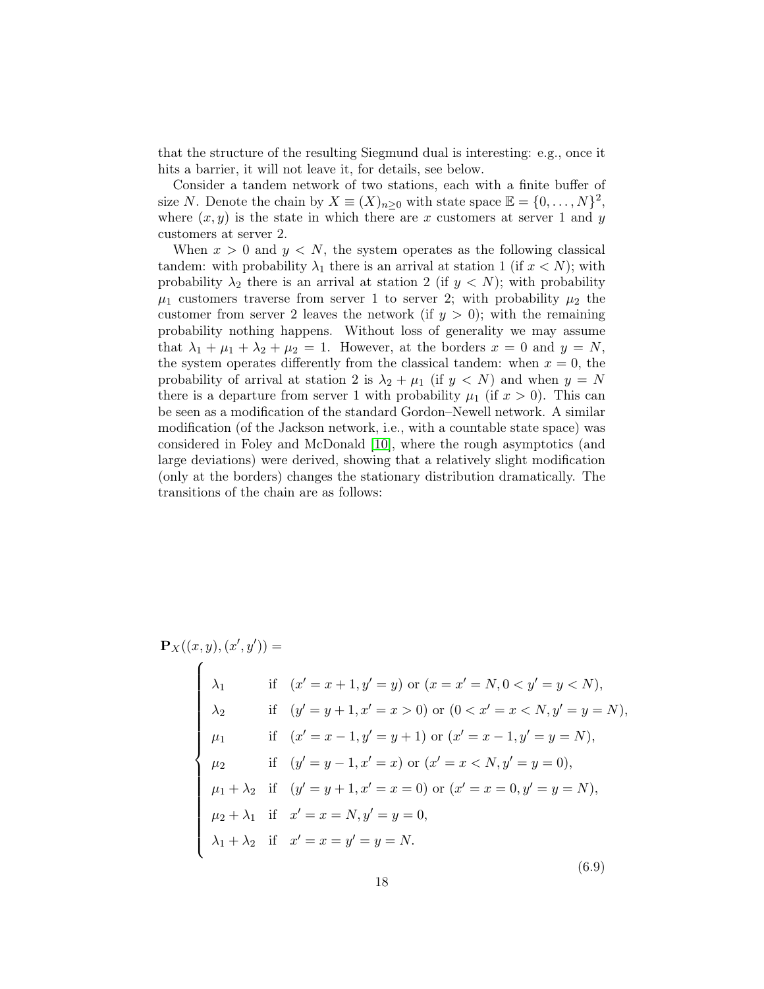that the structure of the resulting Siegmund dual is interesting: e.g., once it hits a barrier, it will not leave it, for details, see below.

Consider a tandem network of two stations, each with a finite buffer of size N. Denote the chain by  $X \equiv (X)_{n \geq 0}$  with state space  $\mathbb{E} = \{0, \ldots, N\}^2$ , where  $(x, y)$  is the state in which there are x customers at server 1 and y customers at server 2.

When  $x > 0$  and  $y < N$ , the system operates as the following classical tandem: with probability  $\lambda_1$  there is an arrival at station 1 (if  $x < N$ ); with probability  $\lambda_2$  there is an arrival at station 2 (if  $y < N$ ); with probability  $\mu_1$  customers traverse from server 1 to server 2; with probability  $\mu_2$  the customer from server 2 leaves the network (if  $y > 0$ ); with the remaining probability nothing happens. Without loss of generality we may assume that  $\lambda_1 + \mu_1 + \lambda_2 + \mu_2 = 1$ . However, at the borders  $x = 0$  and  $y = N$ , the system operates differently from the classical tandem: when  $x = 0$ , the probability of arrival at station 2 is  $\lambda_2 + \mu_1$  (if  $y < N$ ) and when  $y = N$ there is a departure from server 1 with probability  $\mu_1$  (if  $x > 0$ ). This can be seen as a modification of the standard Gordon–Newell network. A similar modification (of the Jackson network, i.e., with a countable state space) was considered in Foley and McDonald [\[10\]](#page-28-3), where the rough asymptotics (and large deviations) were derived, showing that a relatively slight modification (only at the borders) changes the stationary distribution dramatically. The transitions of the chain are as follows:

$$
\mathbf{P}_X((x, y), (x', y')) =
$$
\n
$$
\begin{cases}\n\lambda_1 & \text{if } (x' = x + 1, y' = y) \text{ or } (x = x' = N, 0 < y' = y < N), \\
\lambda_2 & \text{if } (y' = y + 1, x' = x > 0) \text{ or } (0 < x' = x < N, y' = y = N), \\
\mu_1 & \text{if } (x' = x - 1, y' = y + 1) \text{ or } (x' = x - 1, y' = y = N), \\
\mu_2 & \text{if } (y' = y - 1, x' = x) \text{ or } (x' = x < N, y' = y = 0), \\
\mu_1 + \lambda_2 & \text{if } (y' = y + 1, x' = x = 0) \text{ or } (x' = x = 0, y' = y = N), \\
\mu_2 + \lambda_1 & \text{if } x' = x = N, y' = y = 0, \\
\lambda_1 + \lambda_2 & \text{if } x' = x = y' = y = N.\n\end{cases}
$$
\n(6.9)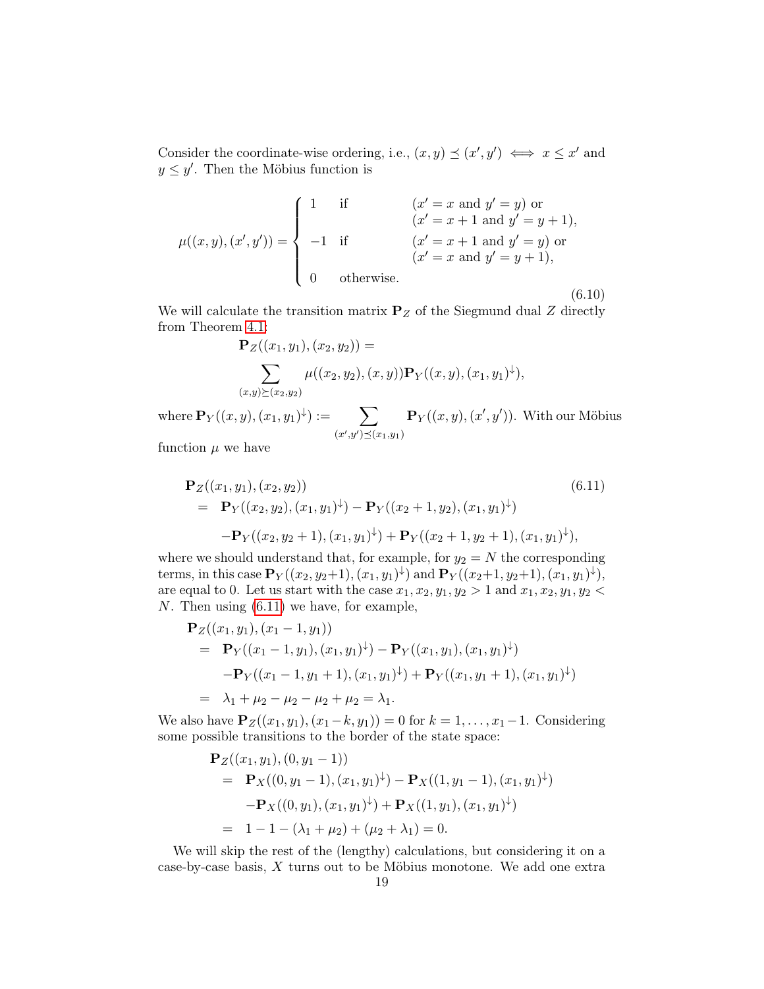Consider the coordinate-wise ordering, i.e.,  $(x, y) \preceq (x', y') \iff x \leq x'$  and  $y \leq y'$ . Then the Möbius function is

$$
\mu((x, y), (x', y')) = \begin{cases}\n1 & \text{if } (x' = x \text{ and } y' = y) \text{ or } \\
-x' = x + 1 \text{ and } y' = y + 1, \\
-x' = x + 1 \text{ and } y' = y \text{ or } \\
(x' = x \text{ and } y' = y + 1), \\
0 & \text{otherwise.} \end{cases}
$$
\n(6.10)

We will calculate the transition matrix  $P_Z$  of the Siegmund dual Z directly from Theorem [4.1:](#page-5-0)

$$
\mathbf{P}_Z((x_1, y_1), (x_2, y_2)) =
$$
  

$$
\sum_{(x,y)\succeq (x_2, y_2)} \mu((x_2, y_2), (x, y)) \mathbf{P}_Y((x, y), (x_1, y_1)^{\downarrow}),
$$

where  $\mathbf{P}_Y((x,y),(x_1,y_1)^\downarrow):=$   $\qquad \sum$  $(x', y') \preceq (x_1, y_1)$  $\mathbf{P}_Y((x,y),(x',y'))$ . With our Möbius

function  $\mu$  we have

<span id="page-18-0"></span>
$$
\mathbf{P}_Z((x_1, y_1), (x_2, y_2))
$$
\n
$$
= \mathbf{P}_Y((x_2, y_2), (x_1, y_1)^{\downarrow}) - \mathbf{P}_Y((x_2 + 1, y_2), (x_1, y_1)^{\downarrow})
$$
\n
$$
- \mathbf{P}_Y((x_2, y_2 + 1), (x_1, y_1)^{\downarrow}) + \mathbf{P}_Y((x_2 + 1, y_2 + 1), (x_1, y_1)^{\downarrow}),
$$
\n(6.11)

where we should understand that, for example, for  $y_2 = N$  the corresponding terms, in this case  $\mathbf{P}_Y((x_2,y_2+1),(x_1,y_1)^{\downarrow})$  and  $\mathbf{P}_Y((x_2+1,y_2+1),(x_1,y_1)^{\downarrow}),$ are equal to 0. Let us start with the case  $x_1, x_2, y_1, y_2 > 1$  and  $x_1, x_2, y_1, y_2 <$ N. Then using [\(6.11\)](#page-18-0) we have, for example,

$$
\begin{split} \mathbf{P}_Z((x_1, y_1), (x_1 - 1, y_1)) \\ &= \mathbf{P}_Y((x_1 - 1, y_1), (x_1, y_1)^\downarrow) - \mathbf{P}_Y((x_1, y_1), (x_1, y_1)^\downarrow) \\ &- \mathbf{P}_Y((x_1 - 1, y_1 + 1), (x_1, y_1)^\downarrow) + \mathbf{P}_Y((x_1, y_1 + 1), (x_1, y_1)^\downarrow) \\ &= \lambda_1 + \mu_2 - \mu_2 - \mu_2 + \mu_2 = \lambda_1. \end{split}
$$

We also have  $P_Z((x_1, y_1), (x_1 - k, y_1)) = 0$  for  $k = 1, ..., x_1 - 1$ . Considering some possible transitions to the border of the state space:

$$
\mathbf{P}_Z((x_1, y_1), (0, y_1 - 1))
$$
  
=  $\mathbf{P}_X((0, y_1 - 1), (x_1, y_1)^{\downarrow}) - \mathbf{P}_X((1, y_1 - 1), (x_1, y_1)^{\downarrow})$   
 $-\mathbf{P}_X((0, y_1), (x_1, y_1)^{\downarrow}) + \mathbf{P}_X((1, y_1), (x_1, y_1)^{\downarrow})$   
=  $1 - 1 - (\lambda_1 + \mu_2) + (\mu_2 + \lambda_1) = 0.$ 

We will skip the rest of the (lengthy) calculations, but considering it on a case-by-case basis, X turns out to be Möbius monotone. We add one extra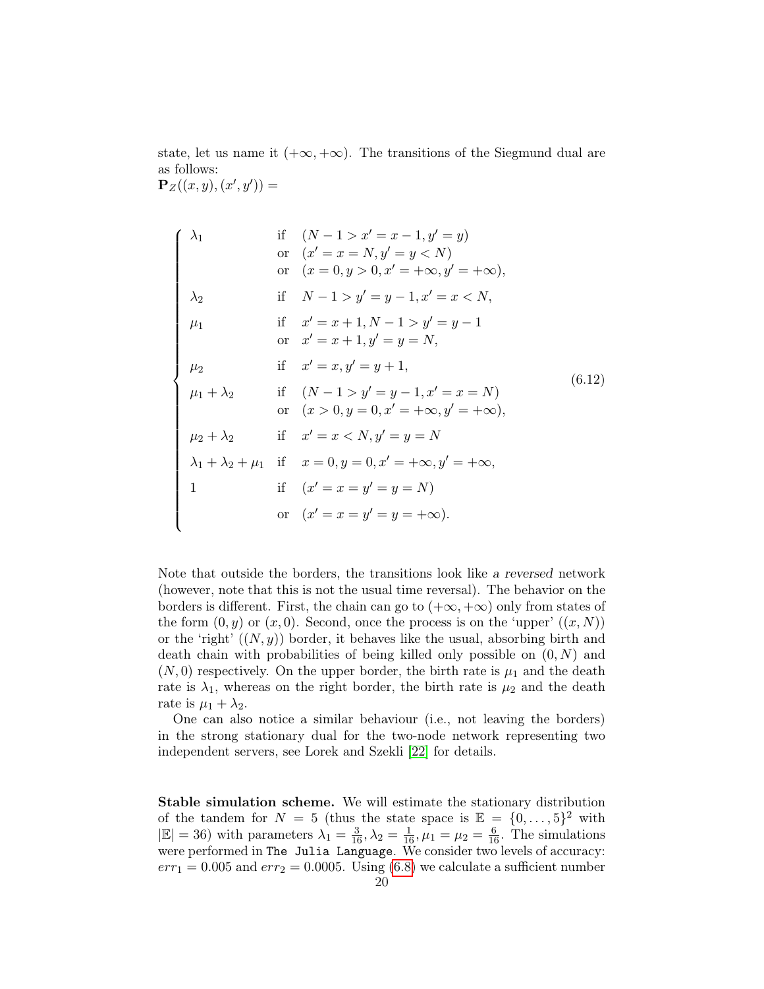state, let us name it  $(+\infty, +\infty)$ . The transitions of the Siegmund dual are as follows:

 ${\bf P}_Z((x,y),(x',y')) =$ 

$$
\begin{cases}\n\lambda_1 & \text{if } (N-1 > x' = x - 1, y' = y) \\
\text{or } (x' = x = N, y' = y < N) \\
\text{or } (x = 0, y > 0, x' = +\infty, y' = +\infty), \\
\lambda_2 & \text{if } N-1 > y' = y - 1, x' = x < N, \\
\mu_1 & \text{if } x' = x + 1, N - 1 > y' = y - 1 \\
\text{or } x' = x + 1, y' = y = N, \\
\mu_2 & \text{if } x' = x, y' = y + 1, \\
\mu_1 + \lambda_2 & \text{if } (N-1 > y' = y - 1, x' = x = N) \\
\text{or } (x > 0, y = 0, x' = +\infty, y' = +\infty), \\
\mu_2 + \lambda_2 & \text{if } x' = x < N, y' = y = N \\
\lambda_1 + \lambda_2 + \mu_1 & \text{if } x = 0, y = 0, x' = +\infty, y' = +\infty, \\
1 & \text{if } (x' = x = y' = y = N) \\
\text{or } (x' = x = y' = y = +\infty).\n\end{cases}
$$
\n(6.12)

Note that outside the borders, the transitions look like a reversed network (however, note that this is not the usual time reversal). The behavior on the borders is different. First, the chain can go to  $(+\infty, +\infty)$  only from states of the form  $(0, y)$  or  $(x, 0)$ . Second, once the process is on the 'upper'  $((x, N))$ or the 'right'  $((N, y))$  border, it behaves like the usual, absorbing birth and death chain with probabilities of being killed only possible on  $(0, N)$  and  $(N, 0)$  respectively. On the upper border, the birth rate is  $\mu_1$  and the death rate is  $\lambda_1$ , whereas on the right border, the birth rate is  $\mu_2$  and the death rate is  $\mu_1 + \lambda_2$ .

One can also notice a similar behaviour (i.e., not leaving the borders) in the strong stationary dual for the two-node network representing two independent servers, see Lorek and Szekli [\[22\]](#page-28-22) for details.

Stable simulation scheme. We will estimate the stationary distribution of the tandem for  $N = 5$  (thus the state space is  $\mathbb{E} = \{0, \ldots, 5\}^2$  with  $|\mathbb{E}| = 36$ ) with parameters  $\lambda_1 = \frac{3}{16}, \lambda_2 = \frac{1}{16}, \mu_1 = \mu_2 = \frac{6}{16}$ . The simulations were performed in The Julia Language. We consider two levels of accuracy:  $err_1 = 0.005$  and  $err_2 = 0.0005$ . Using [\(6.8\)](#page-16-1) we calculate a sufficient number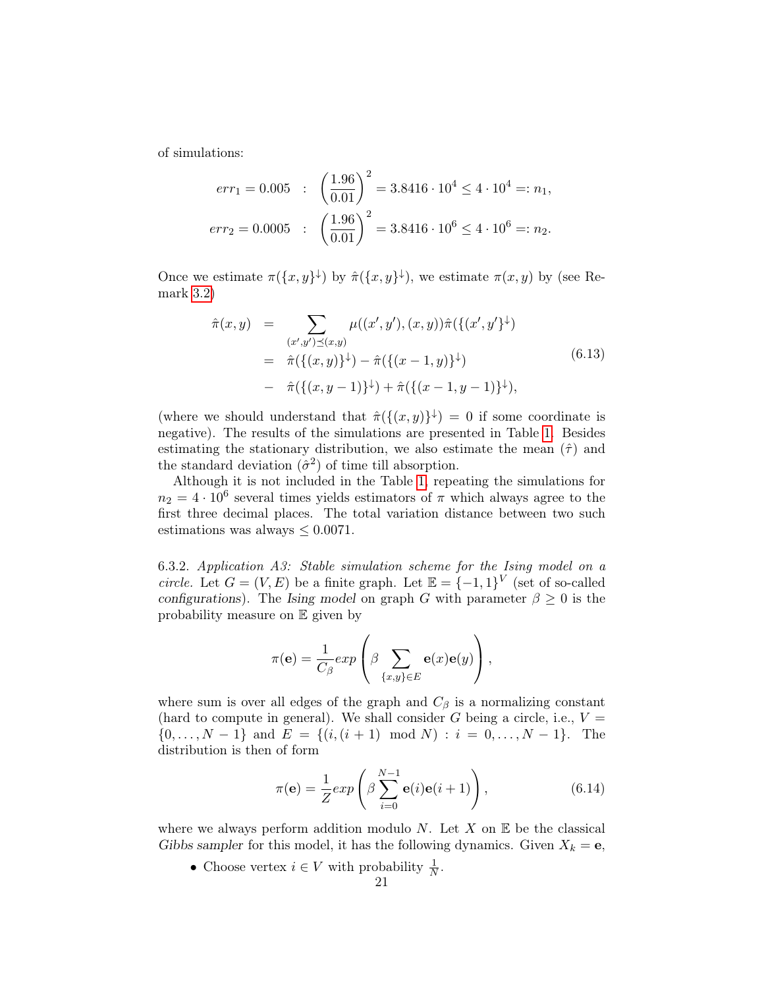of simulations:

$$
err_1 = 0.005 : \left(\frac{1.96}{0.01}\right)^2 = 3.8416 \cdot 10^4 \le 4 \cdot 10^4 =: n_1,
$$
  

$$
err_2 = 0.0005 : \left(\frac{1.96}{0.01}\right)^2 = 3.8416 \cdot 10^6 \le 4 \cdot 10^6 =: n_2.
$$

Once we estimate  $\pi({x,y}^{\downarrow})$  by  $\hat{\pi}({x,y}^{\downarrow})$ , we estimate  $\pi(x,y)$  by (see Remark [3.2\)](#page-4-4)

<span id="page-20-0"></span>
$$
\hat{\pi}(x,y) = \sum_{(x',y') \preceq (x,y)} \mu((x',y'),(x,y))\hat{\pi}(\{(x',y')^{\downarrow})
$$
\n
$$
= \hat{\pi}(\{(x,y)\}^{\downarrow}) - \hat{\pi}(\{(x-1,y)\}^{\downarrow})
$$
\n
$$
- \hat{\pi}(\{(x,y-1)\}^{\downarrow}) + \hat{\pi}(\{(x-1,y-1)\}^{\downarrow}),
$$
\n(6.13)

(where we should understand that  $\hat{\pi}(\{(x,y)\}^{\downarrow}) = 0$  if some coordinate is negative). The results of the simulations are presented in Table [1.](#page-21-0) Besides estimating the stationary distribution, we also estimate the mean  $(\hat{\tau})$  and the standard deviation  $(\hat{\sigma}^2)$  of time till absorption.

Although it is not included in the Table [1,](#page-21-0) repeating the simulations for  $n_2 = 4 \cdot 10^6$  several times yields estimators of  $\pi$  which always agree to the first three decimal places. The total variation distance between two such estimations was always  $\leq 0.0071$ .

6.3.2. Application A3: Stable simulation scheme for the Ising model on a circle. Let  $G = (V, E)$  be a finite graph. Let  $\mathbb{E} = \{-1, 1\}^V$  (set of so-called configurations). The Ising model on graph G with parameter  $\beta \geq 0$  is the probability measure on E given by

$$
\pi(\mathbf{e}) = \frac{1}{C_{\beta}} exp\left(\beta \sum_{\{x,y\} \in E} \mathbf{e}(x) \mathbf{e}(y)\right),\,
$$

where sum is over all edges of the graph and  $C_\beta$  is a normalizing constant (hard to compute in general). We shall consider G being a circle, i.e.,  $V =$  $\{0, \ldots, N-1\}$  and  $E = \{(i, (i+1) \mod N) : i = 0, \ldots, N-1\}$ . The distribution is then of form

$$
\pi(\mathbf{e}) = \frac{1}{Z} exp\left(\beta \sum_{i=0}^{N-1} \mathbf{e}(i)\mathbf{e}(i+1)\right),\tag{6.14}
$$

where we always perform addition modulo N. Let X on  $E$  be the classical Gibbs sampler for this model, it has the following dynamics. Given  $X_k = e$ ,

• Choose vertex  $i \in V$  with probability  $\frac{1}{N}$ .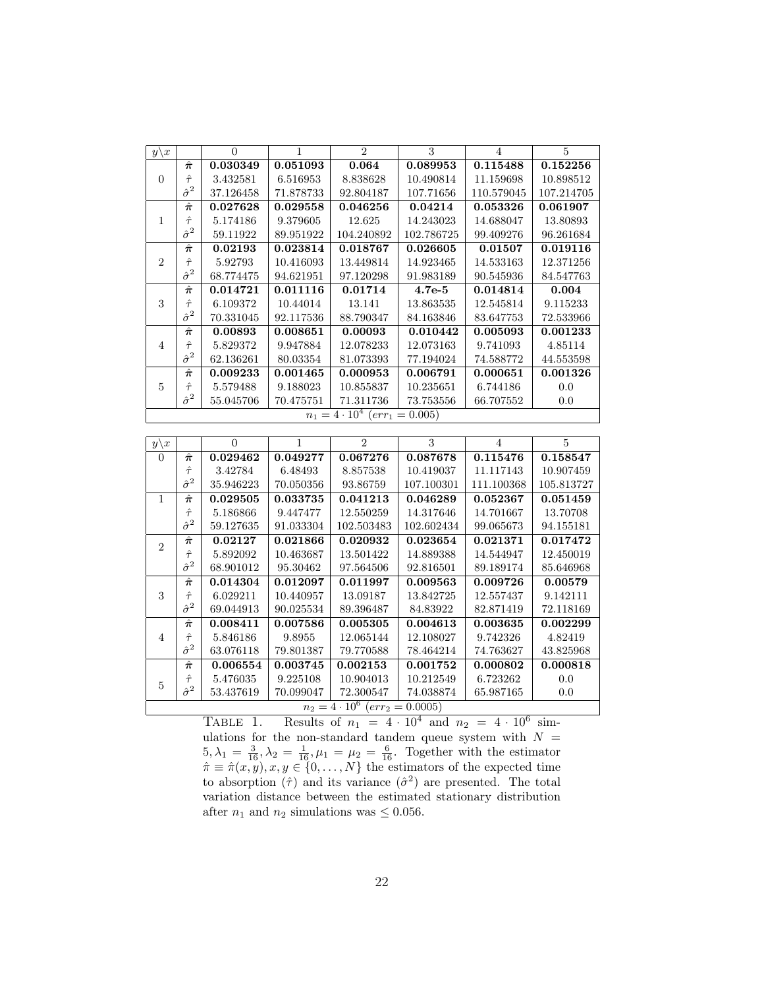| $y\backslash x$ |                  | $\Omega$  | 1         | $\mathfrak{D}$ | 3          | $\overline{4}$ | 5          |
|-----------------|------------------|-----------|-----------|----------------|------------|----------------|------------|
|                 | $\hat{\pi}$      | 0.030349  | 0.051093  | 0.064          | 0.089953   | 0.115488       | 0.152256   |
| $\Omega$        | $\hat{\tau}$     | 3.432581  | 6.516953  | 8.838628       | 10.490814  | 11.159698      | 10.898512  |
|                 | $\hat{\sigma}^2$ | 37.126458 | 71.878733 | 92.804187      | 107.71656  | 110.579045     | 107.214705 |
|                 | $\hat{\pi}$      | 0.027628  | 0.029558  | 0.046256       | 0.04214    | 0.053326       | 0.061907   |
| 1               | $\hat{\tau}$     | 5.174186  | 9.379605  | 12.625         | 14.243023  | 14.688047      | 13.80893   |
|                 | $\hat{\sigma}^2$ | 59.11922  | 89.951922 | 104.240892     | 102.786725 | 99.409276      | 96.261684  |
|                 | $\hat{\pi}$      | 0.02193   | 0.023814  | 0.018767       | 0.026605   | 0.01507        | 0.019116   |
| $\overline{2}$  | $\hat{\tau}$     | 5.92793   | 10.416093 | 13.449814      | 14.923465  | 14.533163      | 12.371256  |
|                 | $\hat{\sigma}^2$ | 68.774475 | 94.621951 | 97.120298      | 91.983189  | 90.545936      | 84.547763  |
|                 | $\hat{\pi}$      | 0.014721  | 0.011116  | 0.01714        | $4.7e-5$   | 0.014814       | 0.004      |
| 3               | $\hat{\tau}$     | 6.109372  | 10.44014  | 13.141         | 13.863535  | 12.545814      | 9.115233   |
|                 | $\hat{\sigma}^2$ | 70.331045 | 92.117536 | 88.790347      | 84.163846  | 83.647753      | 72.533966  |
|                 | $\hat{\pi}$      | 0.00893   | 0.008651  | 0.00093        | 0.010442   | 0.005093       | 0.001233   |
| $\overline{4}$  | $\hat{\tau}$     | 5.829372  | 9.947884  | 12.078233      | 12.073163  | 9.741093       | 4.85114    |
|                 | $\hat{\sigma}^2$ | 62.136261 | 80.03354  | 81.073393      | 77.194024  | 74.588772      | 44.553598  |
|                 | $\hat{\pi}$      | 0.009233  | 0.001465  | 0.000953       | 0.006791   | 0.000651       | 0.001326   |
| 5               | $\hat{\tau}$     | 5.579488  | 9.188023  | 10.855837      | 10.235651  | 6.744186       | 0.0        |
|                 | $\hat{\sigma}^2$ | 55.045706 | 70.475751 | 71.311736      | 73.753556  | 66.707552      | 0.0        |
|                 |                  |           |           |                |            |                |            |

<span id="page-21-0"></span>

| $y\backslash x$                                  |                          | $\Omega$  | 1         | $\overline{2}$ | 3          | 4          | 5          |  |  |
|--------------------------------------------------|--------------------------|-----------|-----------|----------------|------------|------------|------------|--|--|
| $\Omega$                                         | $\hat{\pi}$              | 0.029462  | 0.049277  | 0.067276       | 0.087678   | 0.115476   | 0.158547   |  |  |
|                                                  | $\hat{\tau}$             | 3.42784   | 6.48493   | 8.857538       | 10.419037  | 11.117143  | 10.907459  |  |  |
|                                                  | $\hat{\sigma}^2$         | 35.946223 | 70.050356 | 93.86759       | 107.100301 | 111.100368 | 105.813727 |  |  |
| $\mathbf{1}$                                     | $\hat{\boldsymbol{\pi}}$ | 0.029505  | 0.033735  | 0.041213       | 0.046289   | 0.052367   | 0.051459   |  |  |
|                                                  | $\hat{\tau}$             | 5.186866  | 9.447477  | 12.550259      | 14.317646  | 14.701667  | 13.70708   |  |  |
|                                                  | $\hat{\sigma}^2$         | 59.127635 | 91.033304 | 102.503483     | 102.602434 | 99.065673  | 94.155181  |  |  |
| $\overline{2}$                                   | $\hat{\boldsymbol{\pi}}$ | 0.02127   | 0.021866  | 0.020932       | 0.023654   | 0.021371   | 0.017472   |  |  |
|                                                  | $\hat{\tau}$             | 5.892092  | 10.463687 | 13.501422      | 14.889388  | 14.544947  | 12.450019  |  |  |
|                                                  | $\hat{\sigma}^2$         | 68.901012 | 95.30462  | 97.564506      | 92.816501  | 89.189174  | 85.646968  |  |  |
|                                                  | $\hat{\pi}$              | 0.014304  | 0.012097  | 0.011997       | 0.009563   | 0.009726   | 0.00579    |  |  |
| 3                                                | $\hat{\tau}$             | 6.029211  | 10.440957 | 13.09187       | 13.842725  | 12.557437  | 9.142111   |  |  |
|                                                  | $\hat{\sigma}^2$         | 69.044913 | 90.025534 | 89.396487      | 84.83922   | 82.871419  | 72.118169  |  |  |
|                                                  | $\hat{\boldsymbol{\pi}}$ | 0.008411  | 0.007586  | 0.005305       | 0.004613   | 0.003635   | 0.002299   |  |  |
| 4                                                | $\hat{\tau}$             | 5.846186  | 9.8955    | 12.065144      | 12.108027  | 9.742326   | 4.82419    |  |  |
|                                                  | $\hat{\sigma}^2$         | 63.076118 | 79.801387 | 79.770588      | 78.464214  | 74.763627  | 43.825968  |  |  |
|                                                  | $\hat{\pi}$              | 0.006554  | 0.003745  | 0.002153       | 0.001752   | 0.000802   | 0.000818   |  |  |
| $\overline{5}$                                   | $\hat{\tau}$             | 5.476035  | 9.225108  | 10.904013      | 10.212549  | 6.723262   | 0.0        |  |  |
|                                                  | $\hat{\sigma}^2$         | 53.437619 | 70.099047 | 72.300547      | 74.038874  | 65.987165  | 0.0        |  |  |
| $n_2 = 4 \cdot 10^6$ (err <sub>2</sub> = 0.0005) |                          |           |           |                |            |            |            |  |  |

TABLE 1. Results of  $n_1 = 4 \cdot 10^4$  and  $n_2 = 4 \cdot 10^6$  simulations for the non-standard tandem queue system with  $N =$  $5, \lambda_1 = \frac{3}{16}, \lambda_2 = \frac{1}{16}, \mu_1 = \mu_2 = \frac{6}{16}$ . Together with the estimator  $\hat{\pi} \equiv \hat{\pi}(x, y), x, y \in \{0, \dots, N\}$  the estimators of the expected time to absorption  $(\hat{\tau})$  and its variance  $(\hat{\sigma}^2)$  are presented. The total variation distance between the estimated stationary distribution after  $n_1$  and  $n_2$  simulations was  $\leq 0.056$ .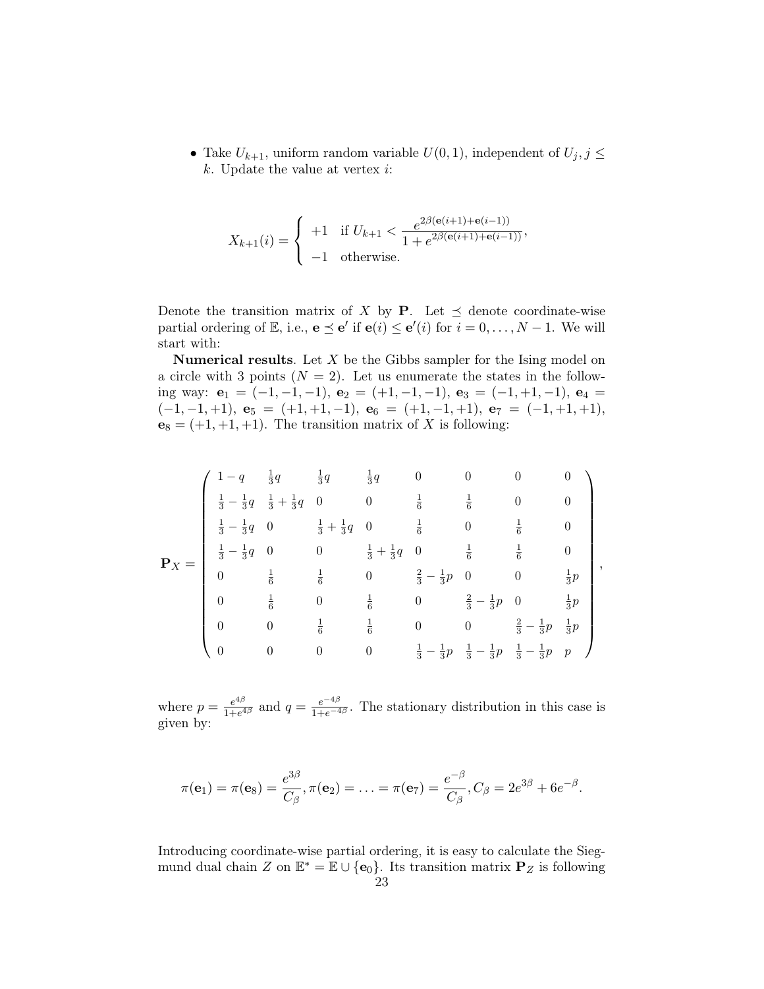• Take  $U_{k+1}$ , uniform random variable  $U(0, 1)$ , independent of  $U_j$ ,  $j \leq$  $k$ . Update the value at vertex  $i$ :

$$
X_{k+1}(i) = \begin{cases} +1 & \text{if } U_{k+1} < \frac{e^{2\beta(\mathbf{e}(i+1) + \mathbf{e}(i-1))}}{1 + e^{2\beta(\mathbf{e}(i+1) + \mathbf{e}(i-1))}},\\ -1 & \text{otherwise.} \end{cases}
$$

Denote the transition matrix of X by **P**. Let  $\preceq$  denote coordinate-wise partial ordering of  $\mathbb{E}$ , i.e.,  $\mathbf{e} \preceq \mathbf{e}'$  if  $\mathbf{e}(i) \preceq \mathbf{e}'(i)$  for  $i = 0, \ldots, N - 1$ . We will start with:

**Numerical results**. Let  $X$  be the Gibbs sampler for the Ising model on a circle with 3 points  $(N = 2)$ . Let us enumerate the states in the following way:  $e_1 = (-1, -1, -1)$ ,  $e_2 = (+1, -1, -1)$ ,  $e_3 = (-1, +1, -1)$ ,  $e_4 =$  $(-1, -1, +1), e_5 = (+1, +1, -1), e_6 = (+1, -1, +1), e_7 = (-1, +1, +1),$  $e_8 = (+1, +1, +1)$ . The transition matrix of X is following:

$$
\mathbf{P}_X = \begin{pmatrix} 1-q & \frac{1}{3}q & \frac{1}{3}q & \frac{1}{3}q & 0 & 0 & 0 & 0 \\ \frac{1}{3}-\frac{1}{3}q & \frac{1}{3}+\frac{1}{3}q & 0 & 0 & \frac{1}{6} & \frac{1}{6} & 0 & 0 \\ \frac{1}{3}-\frac{1}{3}q & 0 & \frac{1}{3}+\frac{1}{3}q & 0 & \frac{1}{6} & 0 & \frac{1}{6} & 0 \\ \frac{1}{3}-\frac{1}{3}q & 0 & 0 & \frac{1}{3}+\frac{1}{3}q & 0 & \frac{1}{6} & \frac{1}{6} & 0 \\ 0 & \frac{1}{6} & \frac{1}{6} & 0 & \frac{2}{3}-\frac{1}{3}p & 0 & 0 & \frac{1}{3}p \\ 0 & \frac{1}{6} & 0 & \frac{1}{6} & 0 & \frac{2}{3}-\frac{1}{3}p & 0 & \frac{1}{3}p \\ 0 & 0 & \frac{1}{6} & \frac{1}{6} & 0 & 0 & \frac{2}{3}-\frac{1}{3}p & \frac{1}{3}p \\ 0 & 0 & 0 & 0 & \frac{1}{3}-\frac{1}{3}p & \frac{1}{3}-\frac{1}{3}p & \frac{1}{3}-\frac{1}{3}p & p \end{pmatrix},
$$

where  $p = \frac{e^{4\beta}}{1+e^4}$  $\frac{e^{4\beta}}{1+e^{4\beta}}$  and  $q=\frac{e^{-4\beta}}{1+e^{-4\beta}}$ . The stationary distribution in this case is given by:

$$
\pi(\mathbf{e}_1) = \pi(\mathbf{e}_8) = \frac{e^{3\beta}}{C_{\beta}}, \pi(\mathbf{e}_2) = \ldots = \pi(\mathbf{e}_7) = \frac{e^{-\beta}}{C_{\beta}}, C_{\beta} = 2e^{3\beta} + 6e^{-\beta}.
$$

Introducing coordinate-wise partial ordering, it is easy to calculate the Siegmund dual chain Z on  $\mathbb{E}^* = \mathbb{E} \cup \{e_0\}$ . Its transition matrix  $P_Z$  is following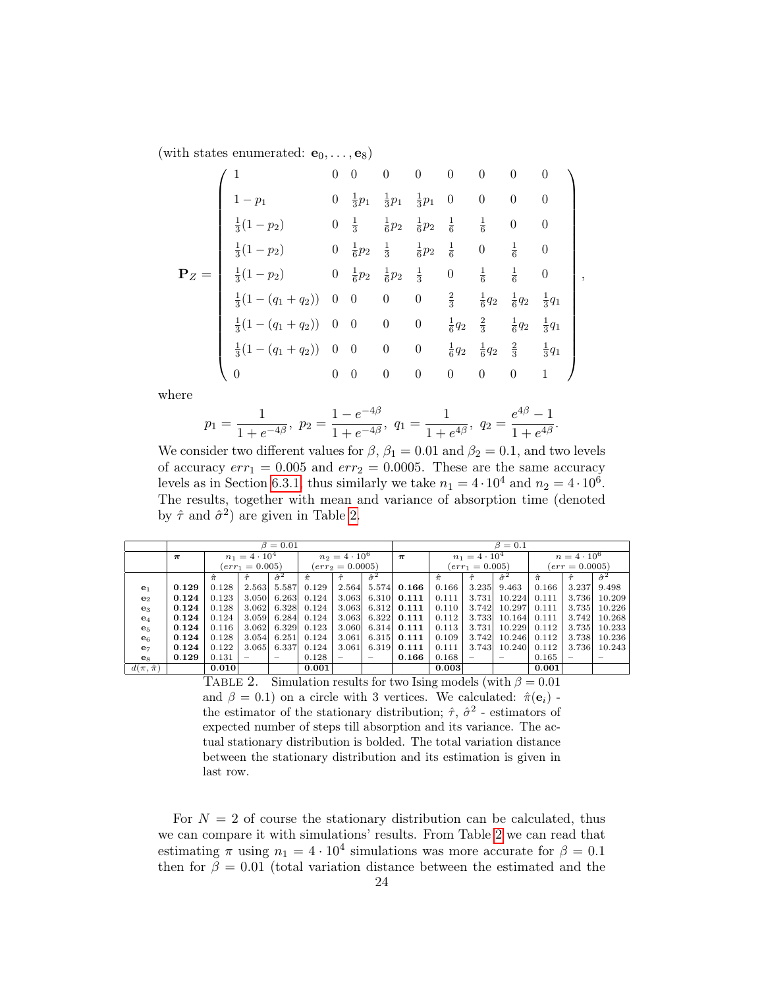(with states enumerated:  $e_0, \ldots, e_8$ )

$$
\mathbf{P}_Z = \begin{pmatrix}\n1 & 0 & 0 & 0 & 0 & 0 & 0 & 0 & 0 \\
1-p_1 & 0 & \frac{1}{3}p_1 & \frac{1}{3}p_1 & 0 & 0 & 0 & 0 \\
\frac{1}{3}(1-p_2) & 0 & \frac{1}{3} & \frac{1}{6}p_2 & \frac{1}{6}p_2 & \frac{1}{6} & \frac{1}{6} & 0 & 0 \\
\frac{1}{3}(1-p_2) & 0 & \frac{1}{6}p_2 & \frac{1}{3} & \frac{1}{6}p_2 & \frac{1}{6} & 0 & \frac{1}{6} & 0 \\
\frac{1}{3}(1-p_2) & 0 & \frac{1}{6}p_2 & \frac{1}{6}p_2 & \frac{1}{3} & 0 & \frac{1}{6} & \frac{1}{6} & 0 \\
\frac{1}{3}(1-(q_1+q_2)) & 0 & 0 & 0 & 0 & \frac{2}{3} & \frac{1}{6}q_2 & \frac{1}{6}q_2 & \frac{1}{3}q_1 \\
\frac{1}{3}(1-(q_1+q_2)) & 0 & 0 & 0 & 0 & \frac{1}{6}q_2 & \frac{2}{3} & \frac{1}{6}q_2 & \frac{1}{3}q_1 \\
\frac{1}{3}(1-(q_1+q_2)) & 0 & 0 & 0 & 0 & \frac{1}{6}q_2 & \frac{1}{6}q_2 & \frac{2}{3} & \frac{1}{3}q_1 \\
0 & 0 & 0 & 0 & 0 & 0 & 0 & 0 & 1\n\end{pmatrix},
$$

where

$$
p_1 = \frac{1}{1 + e^{-4\beta}}, \ p_2 = \frac{1 - e^{-4\beta}}{1 + e^{-4\beta}}, \ q_1 = \frac{1}{1 + e^{4\beta}}, \ q_2 = \frac{e^{4\beta} - 1}{1 + e^{4\beta}}.
$$

We consider two different values for  $\beta$ ,  $\beta_1 = 0.01$  and  $\beta_2 = 0.1$ , and two levels of accuracy  $err_1 = 0.005$  and  $err_2 = 0.0005$ . These are the same accuracy levels as in Section [6.3.1,](#page-16-2) thus similarly we take  $n_1 = 4 \cdot 10^4$  and  $n_2 = 4 \cdot 10^6$ . The results, together with mean and variance of absorption time (denoted by  $\hat{\tau}$  and  $\hat{\sigma}^2$ ) are given in Table [2.](#page-23-0)

|                     | $\beta = 0.01$ |                      |       |                          |                      |       |                          | $\beta = 0.1$        |                  |                    |                  |             |       |                  |
|---------------------|----------------|----------------------|-------|--------------------------|----------------------|-------|--------------------------|----------------------|------------------|--------------------|------------------|-------------|-------|------------------|
|                     | $\pi$          | $n_1 = 4 \cdot 10^4$ |       |                          | $n_2 = 4 \cdot 10^6$ |       | $\pi$                    | $n_1 = 4 \cdot 10^4$ |                  | $n = 4 \cdot 10^6$ |                  |             |       |                  |
|                     |                | $(err_1 = 0.005)$    |       | $(err_2 = 0.0005)$       |                      |       | $(err_1 = 0.005)$        |                      | $(err = 0.0005)$ |                    |                  |             |       |                  |
|                     |                | $\hat{\pi}$          |       | $\hat{\sigma}^2$         | $\hat{\pi}$          |       | $\hat{\sigma}^2$         |                      | $\hat{\pi}$      |                    | $\hat{\sigma}^2$ | $\hat{\pi}$ |       | $\hat{\sigma}^2$ |
| e <sub>1</sub>      | 0.129          | 0.128                | 2.563 | 5.587                    | 0.129                | 2.564 |                          | 5.574 0.166          | 0.166            | 3.235              | 9.463            | 0.166       | 3.237 | 9.498            |
| e <sub>2</sub>      | 0.124          | 0.123                | 3.050 | 6.263                    | 0.124                |       |                          | $3.063$ 6.310 0.111  | 0.111            | 3.731              | 10.224           | 0.111       | 3.736 | 10.209           |
| $\mathbf{e}_3$      | 0.124          | 0.128                | 3.062 | 6.328                    | 0.124                |       |                          | $3.063$ 6.312 0.111  | 0.110            | 3.742              | 10.297           | 0.111       | 3.735 | 10.226           |
| $\mathbf{e}_4$      | 0.124          | 0.124                | 3.059 | 6.284                    | 0.124                |       |                          | $3.063$ 6.322 0.111  | 0.112            | 3.733              | 10.164           | 0.111       | 3.742 | 10.268           |
| $\mathbf{e}_5$      | 0.124          | 0.116                | 3.062 | 6.329                    | 0.123                |       |                          | $3.060$ 6.314 0.111  | 0.113            | 3.731              | 10.229           | 0.112       | 3.735 | 10.233           |
| e <sub>6</sub>      | 0.124          | 0.128                | 3.054 | 6.251                    | 0.124                | 3.061 |                          | $6.315$ 0.111        | 0.109            | 3.742              | 10.246           | 0.112       | 3.738 | 10.236           |
| $e_7$               | 0.124          | 0.122                | 3.065 | 6.337                    | 0.124                | 3.061 | 6.319                    | 0.111                | 0.111            | 3.743              | 10.240           | 0.112       | 3.736 | 10.243           |
| $\mathbf{e}_8$      | 0.129          | 0.131                |       | $\overline{\phantom{a}}$ | 0.128                |       | $\overline{\phantom{a}}$ | 0.166                | 0.168            |                    |                  | 0.165       |       |                  |
| $d(\pi, \hat{\pi})$ |                | 0.010                |       |                          | 0.001                |       |                          |                      | 0.003            |                    |                  | 0.001       |       |                  |

<span id="page-23-0"></span>TABLE 2. Simulation results for two Ising models (with  $\beta = 0.01$ ) and  $\beta = 0.1$ ) on a circle with 3 vertices. We calculated:  $\hat{\pi}(\mathbf{e}_i)$  the estimator of the stationary distribution;  $\hat{\tau}$ ,  $\hat{\sigma}^2$  - estimators of expected number of steps till absorption and its variance. The actual stationary distribution is bolded. The total variation distance between the stationary distribution and its estimation is given in last row.

For  $N = 2$  of course the stationary distribution can be calculated, thus we can compare it with simulations' results. From Table [2](#page-23-0) we can read that estimating  $\pi$  using  $n_1 = 4 \cdot 10^4$  simulations was more accurate for  $\beta = 0.1$ then for  $\beta = 0.01$  (total variation distance between the estimated and the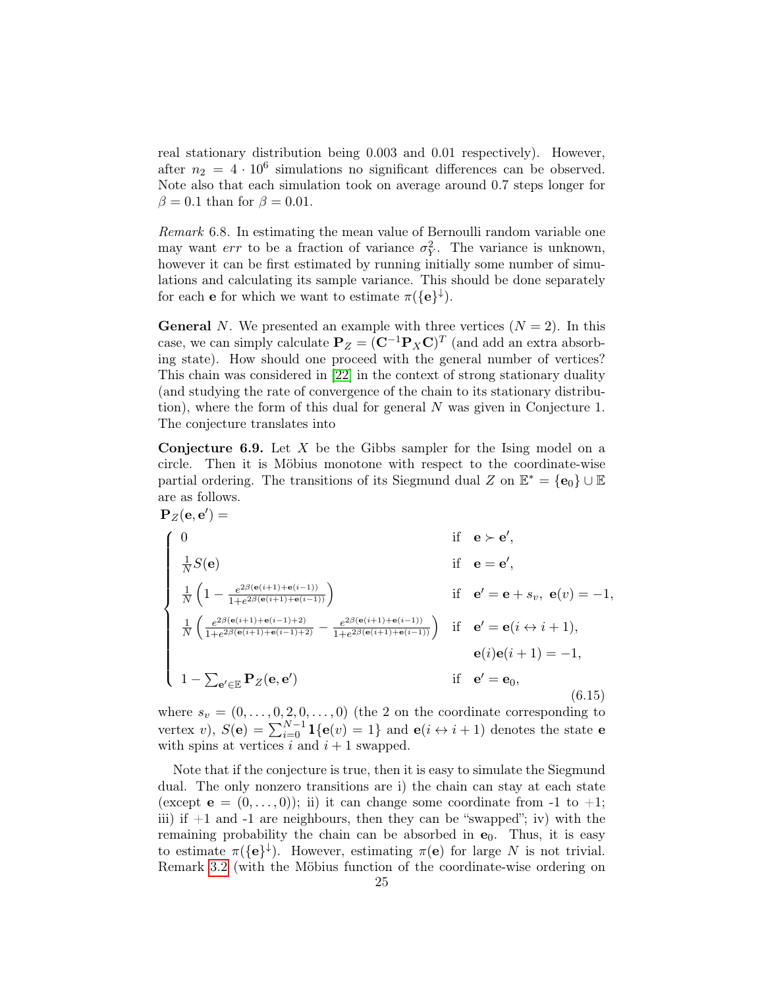real stationary distribution being 0.003 and 0.01 respectively). However, after  $n_2 = 4 \cdot 10^6$  simulations no significant differences can be observed. Note also that each simulation took on average around 0.7 steps longer for  $\beta = 0.1$  than for  $\beta = 0.01$ .

Remark 6.8. In estimating the mean value of Bernoulli random variable one may want *err* to be a fraction of variance  $\sigma_Y^2$ . The variance is unknown, however it can be first estimated by running initially some number of simulations and calculating its sample variance. This should be done separately for each **e** for which we want to estimate  $\pi({\lbrace e \rbrace}^{\downarrow}).$ 

**General** N. We presented an example with three vertices  $(N = 2)$ . In this case, we can simply calculate  $\mathbf{P}_Z = (\mathbf{C}^{-1} \mathbf{P}_X \mathbf{C})^T$  (and add an extra absorbing state). How should one proceed with the general number of vertices? This chain was considered in [\[22\]](#page-28-22) in the context of strong stationary duality (and studying the rate of convergence of the chain to its stationary distribution), where the form of this dual for general N was given in Conjecture 1. The conjecture translates into

**Conjecture 6.9.** Let  $X$  be the Gibbs sampler for the Ising model on a circle. Then it is Möbius monotone with respect to the coordinate-wise partial ordering. The transitions of its Siegmund dual Z on  $\mathbb{E}^* = {\bf{e}_0} \cup \mathbb{E}$ are as follows.

$$
\mathbf{P}_{Z}(\mathbf{e}, \mathbf{e}') = \qquad \qquad \text{if} \quad \mathbf{e} \succ \mathbf{e}',
$$
\n
$$
\begin{cases}\n0 & \text{if} \quad \mathbf{e} \succ \mathbf{e}', \\
\frac{1}{N}S(\mathbf{e}) & \text{if} \quad \mathbf{e} = \mathbf{e}', \\
\frac{1}{N}\left(1 - \frac{e^{2\beta(\mathbf{e}(i+1) + \mathbf{e}(i-1))}}{1 + e^{2\beta(\mathbf{e}(i+1) + \mathbf{e}(i-1))}}\right) & \text{if} \quad \mathbf{e}' = \mathbf{e} + s_v, \ \mathbf{e}(v) = -1, \\
\frac{1}{N}\left(\frac{e^{2\beta(\mathbf{e}(i+1) + \mathbf{e}(i-1) + 2)}}{1 + e^{2\beta(\mathbf{e}(i+1) + \mathbf{e}(i-1))}} - \frac{e^{2\beta(\mathbf{e}(i+1) + \mathbf{e}(i-1))}}{1 + e^{2\beta(\mathbf{e}(i+1) + \mathbf{e}(i-1))}}\right) & \text{if} \quad \mathbf{e}' = \mathbf{e}(i \leftrightarrow i+1), \\
0 & \text{if} \quad \mathbf{e}' = \mathbf{e}_0, \\
1 - \sum_{\mathbf{e}' \in \mathbb{E}} \mathbf{P}_{Z}(\mathbf{e}, \mathbf{e}') & \text{if} \quad \mathbf{e}' = \mathbf{e}_0,\n\end{cases}
$$
\n(6.15)

where  $s_v = (0, \ldots, 0, 2, 0, \ldots, 0)$  (the 2 on the coordinate corresponding to vertex v),  $S(\mathbf{e}) = \sum_{i=0}^{N-1} \mathbf{1}\{\mathbf{e}(v) = 1\}$  and  $\mathbf{e}(i \leftrightarrow i + 1)$  denotes the state  $\mathbf{e}$ with spins at vertices i and  $i + 1$  swapped.

Note that if the conjecture is true, then it is easy to simulate the Siegmund dual. The only nonzero transitions are i) the chain can stay at each state (except  $e = (0, \ldots, 0)$ ); ii) it can change some coordinate from -1 to +1; iii) if  $+1$  and  $-1$  are neighbours, then they can be "swapped"; iv) with the remaining probability the chain can be absorbed in  $e_0$ . Thus, it is easy to estimate  $\pi({\bf e}^{\dagger})$ . However, estimating  $\pi({\bf e})$  for large N is not trivial. Remark [3.2](#page-4-4) (with the Möbius function of the coordinate-wise ordering on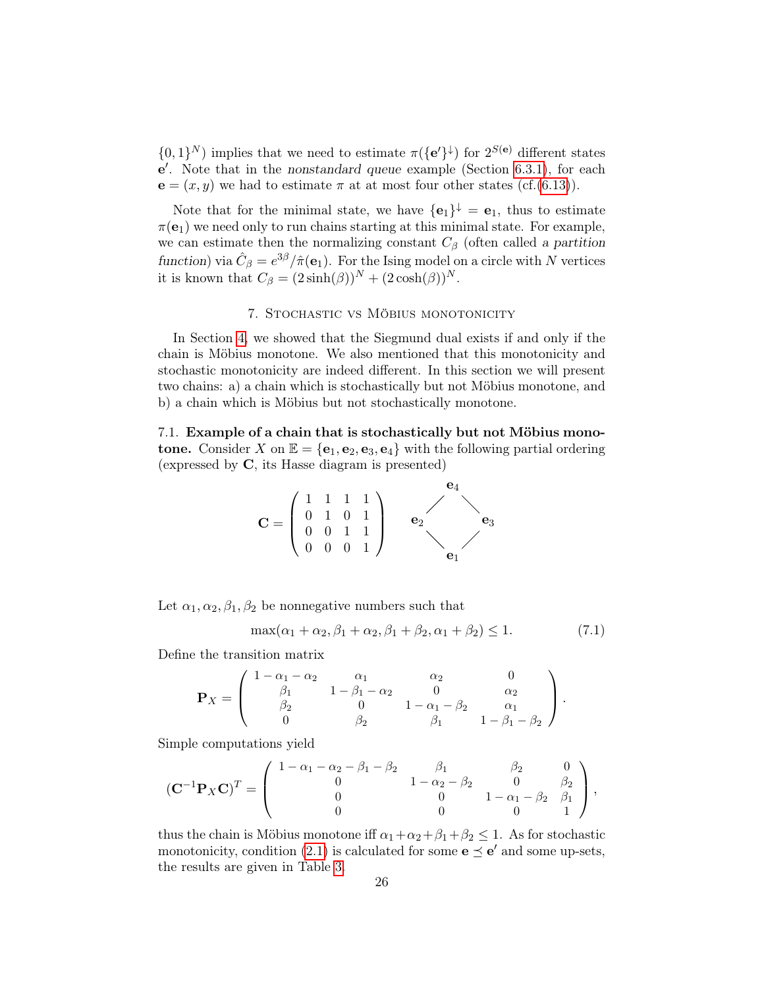$\{0,1\}^N$ ) implies that we need to estimate  $\pi({\bf e'}\}^{\downarrow})$  for  $2^{S({\bf e})}$  different states  $e'$ . Note that in the nonstandard queue example (Section [6.3.1\)](#page-16-2), for each  ${\bf e} = (x, y)$  we had to estimate  $\pi$  at at most four other states (cf.[\(6.13\)](#page-20-0)).

Note that for the minimal state, we have  ${e_1}^{\downarrow} = e_1$ , thus to estimate  $\pi(\mathbf{e}_1)$  we need only to run chains starting at this minimal state. For example, we can estimate then the normalizing constant  $C_{\beta}$  (often called a partition function) via  $\hat{C}_{\beta} = e^{3\beta}/\hat{\pi}(\mathbf{e}_1)$ . For the Ising model on a circle with N vertices it is known that  $C_{\beta} = (2 \sinh(\beta))^N + (2 \cosh(\beta))^N$ .

## 7. Stochastic vs Möbius monotonicity

<span id="page-25-0"></span>In Section [4,](#page-4-2) we showed that the Siegmund dual exists if and only if the chain is Möbius monotone. We also mentioned that this monotonicity and stochastic monotonicity are indeed different. In this section we will present two chains: a) a chain which is stochastically but not Möbius monotone, and b) a chain which is Möbius but not stochastically monotone.

<span id="page-25-1"></span>7.1. Example of a chain that is stochastically but not Möbius monotone. Consider X on  $\mathbb{E} = {\mathbf{e}_1, \mathbf{e}_2, \mathbf{e}_3, \mathbf{e}_4}$  with the following partial ordering (expressed by C, its Hasse diagram is presented)



Let  $\alpha_1, \alpha_2, \beta_1, \beta_2$  be nonnegative numbers such that

$$
\max(\alpha_1 + \alpha_2, \beta_1 + \alpha_2, \beta_1 + \beta_2, \alpha_1 + \beta_2) \le 1.
$$
 (7.1)

Define the transition matrix

$$
\mathbf{P}_X = \begin{pmatrix} 1 - \alpha_1 - \alpha_2 & \alpha_1 & \alpha_2 & 0 \\ \beta_1 & 1 - \beta_1 - \alpha_2 & 0 & \alpha_2 \\ \beta_2 & 0 & 1 - \alpha_1 - \beta_2 & \alpha_1 \\ 0 & \beta_2 & \beta_1 & 1 - \beta_1 - \beta_2 \end{pmatrix}.
$$

Simple computations yield

$$
(\mathbf{C}^{-1}\mathbf{P}_X\mathbf{C})^T = \begin{pmatrix} 1 - \alpha_1 - \alpha_2 - \beta_1 - \beta_2 & \beta_1 & \beta_2 & 0 \\ 0 & 1 - \alpha_2 - \beta_2 & 0 & \beta_2 \\ 0 & 0 & 1 - \alpha_1 - \beta_2 & \beta_1 \\ 0 & 0 & 0 & 1 \end{pmatrix},
$$

thus the chain is Möbius monotone iff  $\alpha_1 + \alpha_2 + \beta_1 + \beta_2 \leq 1$ . As for stochastic monotonicity, condition [\(2.1\)](#page-3-3) is calculated for some  $\mathbf{e} \preceq \mathbf{e}'$  and some up-sets, the results are given in Table [3.](#page-26-1)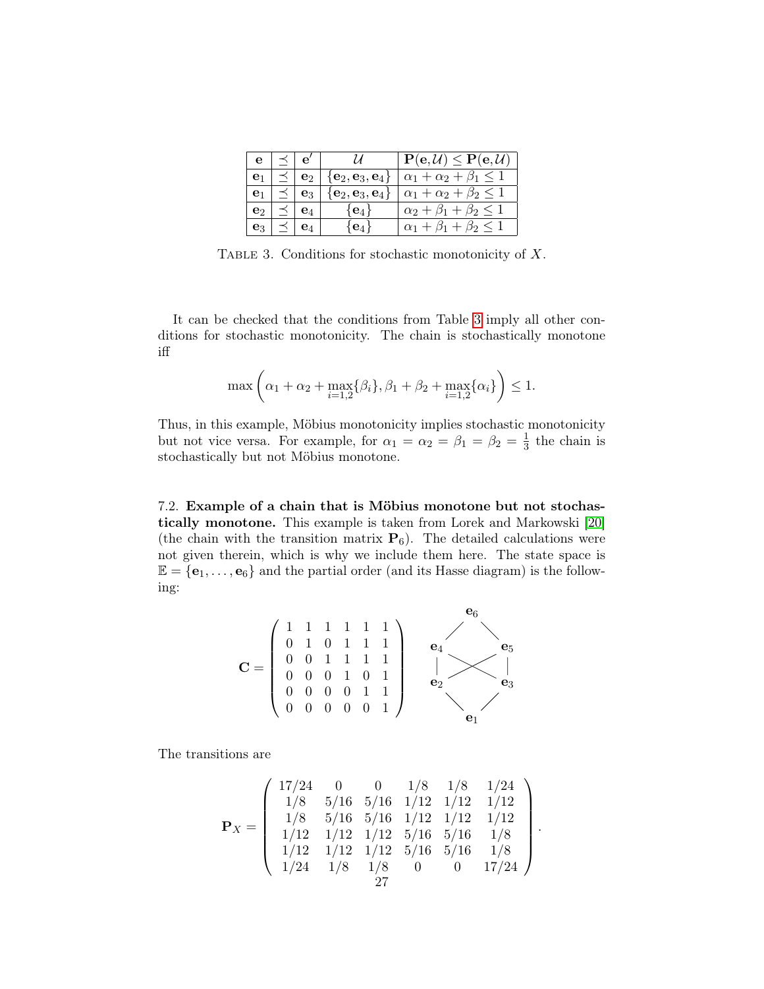<span id="page-26-1"></span>

| e              | $\prec$   $e'$ |                          | $\mathcal{U}$                             | $\overline{\mathbf{P}}(\mathbf{e},\mathcal{U})\leq \mathbf{P}(\mathbf{e},\mathcal{U})$ |
|----------------|----------------|--------------------------|-------------------------------------------|----------------------------------------------------------------------------------------|
|                |                | $\prec$   $\mathbf{e}_2$ |                                           | $\{e_2, e_3, e_4\}$ $\alpha_1 + \alpha_2 + \beta_1 \leq 1$                             |
|                |                | $e_3$                    | $\{\mathbf e_2,\mathbf e_3,\mathbf e_4\}$ | $\alpha_1 + \alpha_2 + \beta_2 \leq 1$                                                 |
| e۰             |                |                          | $\{e_4\}$                                 | $\alpha_2 + \beta_1 + \beta_2 \leq 1$                                                  |
| $\mathbf{e}_3$ |                | ${\bf e}_4$              | $e_4$                                     | $\alpha_1 + \beta_1 + \beta_2 \leq 1$                                                  |

TABLE 3. Conditions for stochastic monotonicity of  $X$ .

It can be checked that the conditions from Table [3](#page-26-1) imply all other conditions for stochastic monotonicity. The chain is stochastically monotone iff

$$
\max\left(\alpha_1 + \alpha_2 + \max_{i=1,2} \{\beta_i\}, \beta_1 + \beta_2 + \max_{i=1,2} \{\alpha_i\}\right) \le 1.
$$

Thus, in this example, Möbius monotonicity implies stochastic monotonicity but not vice versa. For example, for  $\alpha_1 = \alpha_2 = \beta_1 = \beta_2 = \frac{1}{3}$  $\frac{1}{3}$  the chain is stochastically but not Möbius monotone.

<span id="page-26-0"></span>7.2. Example of a chain that is Möbius monotone but not stochastically monotone. This example is taken from Lorek and Markowski [\[20\]](#page-28-14) (the chain with the transition matrix  $P_6$ ). The detailed calculations were not given therein, which is why we include them here. The state space is  $\mathbb{E} = {\mathbf{e}_1, \dots, \mathbf{e}_6}$  and the partial order (and its Hasse diagram) is the following:

$$
\mathbf{C} = \left(\begin{array}{cccccc}1 & 1 & 1 & 1 & 1 & 1 \\0 & 1 & 0 & 1 & 1 & 1 \\0 & 0 & 1 & 1 & 1 & 1 \\0 & 0 & 0 & 1 & 0 & 1 \\0 & 0 & 0 & 0 & 1 & 1 \\0 & 0 & 0 & 0 & 0 & 1\end{array}\right) \quad \begin{array}{c} \mathbf{e}_6 \\ \mathbf{e}_4 \\ \mathbf{e}_2 \\ \mathbf{e}_3 \\ \mathbf{e}_1 \\ \mathbf{e}_2 \\ \mathbf{e}_3 \end{array}
$$

The transitions are

$$
\mathbf{P}_X = \left( \begin{array}{cccccc} 17/24 & 0 & 0 & 1/8 & 1/8 & 1/24 \\ 1/8 & 5/16 & 5/16 & 1/12 & 1/12 & 1/12 \\ 1/8 & 5/16 & 5/16 & 1/12 & 1/12 & 1/12 \\ 1/12 & 1/12 & 1/12 & 5/16 & 5/16 & 1/8 \\ 1/12 & 1/12 & 1/12 & 5/16 & 5/16 & 1/8 \\ 1/24 & 1/8 & 1/8 & 0 & 0 & 17/24 \end{array} \right).
$$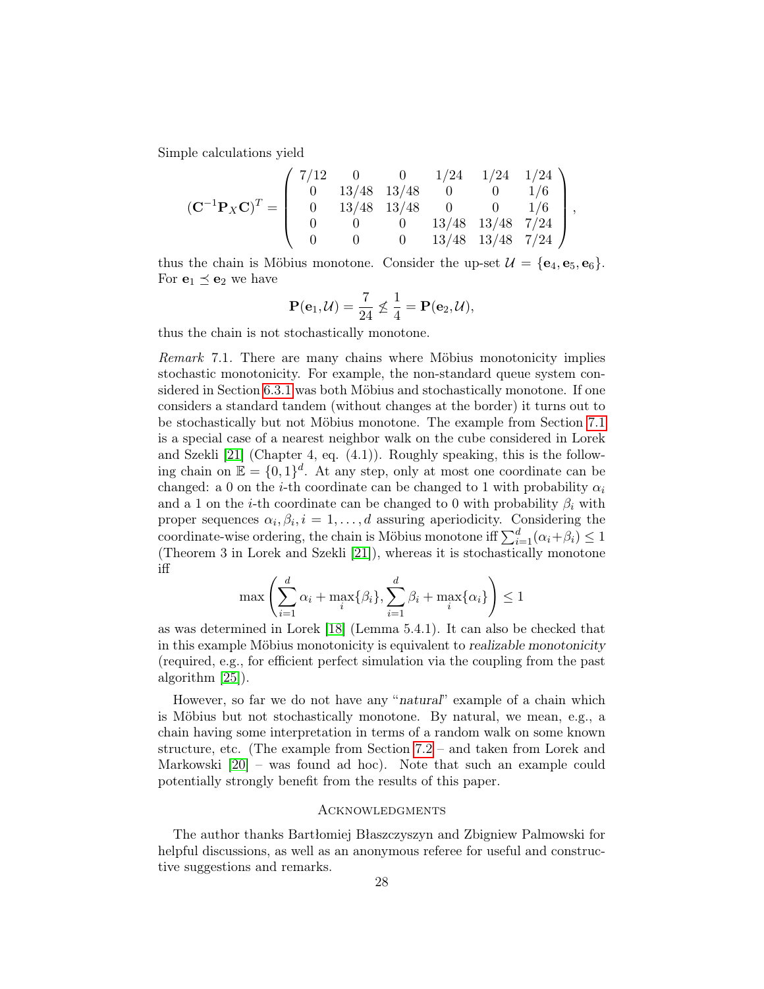Simple calculations yield

$$
(\mathbf{C}^{-1}\mathbf{P}_X\mathbf{C})^T = \left(\begin{array}{cccccc} 7/12 & 0 & 0 & 1/24 & 1/24 & 1/24 \\ 0 & 13/48 & 13/48 & 0 & 0 & 1/6 \\ 0 & 13/48 & 13/48 & 0 & 0 & 1/6 \\ 0 & 0 & 0 & 13/48 & 13/48 & 7/24 \\ 0 & 0 & 0 & 13/48 & 13/48 & 7/24 \end{array}\right),
$$

thus the chain is Möbius monotone. Consider the up-set  $\mathcal{U} = {\bf{e}}_4, {\bf{e}}_5, {\bf{e}}_6$ . For  $e_1 \preceq e_2$  we have

$$
\mathbf{P}(\mathbf{e}_1,\mathcal{U})=\frac{7}{24}\not\leq \frac{1}{4}=\mathbf{P}(\mathbf{e}_2,\mathcal{U}),
$$

thus the chain is not stochastically monotone.

Remark 7.1. There are many chains where Möbius monotonicity implies stochastic monotonicity. For example, the non-standard queue system considered in Section [6.3.1](#page-16-2) was both Möbius and stochastically monotone. If one considers a standard tandem (without changes at the border) it turns out to be stochastically but not Möbius monotone. The example from Section [7.1](#page-25-1) is a special case of a nearest neighbor walk on the cube considered in Lorek and Szekli [\[21\]](#page-28-1) (Chapter 4, eq. (4.1)). Roughly speaking, this is the following chain on  $\mathbb{E} = \{0,1\}^d$ . At any step, only at most one coordinate can be changed: a 0 on the *i*-th coordinate can be changed to 1 with probability  $\alpha_i$ and a 1 on the *i*-th coordinate can be changed to 0 with probability  $\beta_i$  with proper sequences  $\alpha_i, \beta_i, i = 1, \ldots, d$  assuring aperiodicity. Considering the coordinate-wise ordering, the chain is Möbius monotone iff  $\sum_{i=1}^{d} (\alpha_i + \beta_i) \leq 1$ (Theorem 3 in Lorek and Szekli [\[21\]](#page-28-1)), whereas it is stochastically monotone iff

$$
\max\left(\sum_{i=1}^d \alpha_i + \max_i\{\beta_i\}, \sum_{i=1}^d \beta_i + \max_i\{\alpha_i\}\right) \le 1
$$

as was determined in Lorek [\[18\]](#page-28-23) (Lemma 5.4.1). It can also be checked that in this example Möbius monotonicity is equivalent to realizable monotonicity (required, e.g., for efficient perfect simulation via the coupling from the past algorithm [\[25\]](#page-29-2)).

However, so far we do not have any "natural" example of a chain which is Möbius but not stochastically monotone. By natural, we mean, e.g., a chain having some interpretation in terms of a random walk on some known structure, etc. (The example from Section [7.2](#page-26-0) – and taken from Lorek and Markowski [\[20\]](#page-28-14) – was found ad hoc). Note that such an example could potentially strongly benefit from the results of this paper.

#### **ACKNOWLEDGMENTS**

The author thanks Bartłomiej Błaszczyszyn and Zbigniew Palmowski for helpful discussions, as well as an anonymous referee for useful and constructive suggestions and remarks.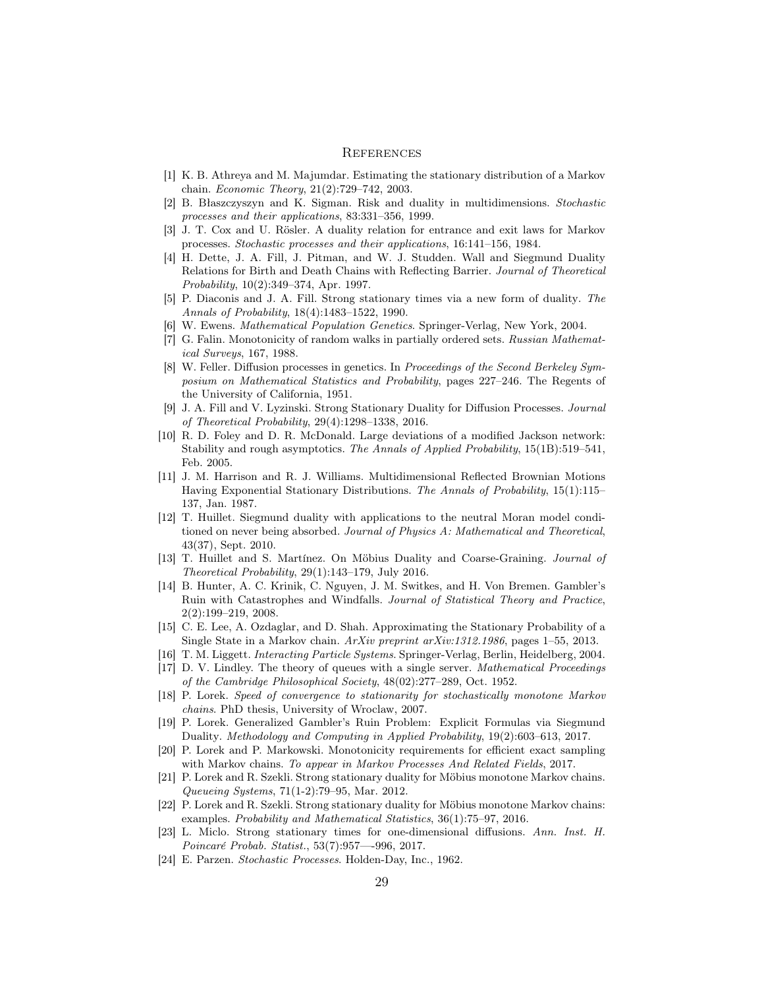### **REFERENCES**

- <span id="page-28-16"></span>[1] K. B. Athreya and M. Majumdar. Estimating the stationary distribution of a Markov chain. Economic Theory, 21(2):729–742, 2003.
- <span id="page-28-9"></span>[2] B. Błaszczyszyn and K. Sigman. Risk and duality in multidimensions. Stochastic processes and their applications, 83:331–356, 1999.
- <span id="page-28-4"></span>[3] J. T. Cox and U. Rösler. A duality relation for entrance and exit laws for Markov processes. Stochastic processes and their applications, 16:141–156, 1984.
- <span id="page-28-6"></span>[4] H. Dette, J. A. Fill, J. Pitman, and W. J. Studden. Wall and Siegmund Duality Relations for Birth and Death Chains with Reflecting Barrier. Journal of Theoretical Probability, 10(2):349–374, Apr. 1997.
- <span id="page-28-5"></span>[5] P. Diaconis and J. A. Fill. Strong stationary times via a new form of duality. The Annals of Probability, 18(4):1483–1522, 1990.
- <span id="page-28-20"></span>[6] W. Ewens. Mathematical Population Genetics. Springer-Verlag, New York, 2004.
- <span id="page-28-15"></span>[7] G. Falin. Monotonicity of random walks in partially ordered sets. Russian Mathematical Surveys, 167, 1988.
- <span id="page-28-21"></span>[8] W. Feller. Diffusion processes in genetics. In Proceedings of the Second Berkeley Symposium on Mathematical Statistics and Probability, pages 227–246. The Regents of the University of California, 1951.
- <span id="page-28-11"></span>[9] J. A. Fill and V. Lyzinski. Strong Stationary Duality for Diffusion Processes. Journal of Theoretical Probability, 29(4):1298–1338, 2016.
- <span id="page-28-3"></span>[10] R. D. Foley and D. R. McDonald. Large deviations of a modified Jackson network: Stability and rough asymptotics. The Annals of Applied Probability, 15(1B):519–541, Feb. 2005.
- <span id="page-28-13"></span>[11] J. M. Harrison and R. J. Williams. Multidimensional Reflected Brownian Motions Having Exponential Stationary Distributions. The Annals of Probability, 15(1):115– 137, Jan. 1987.
- <span id="page-28-7"></span>[12] T. Huillet. Siegmund duality with applications to the neutral Moran model conditioned on never being absorbed. Journal of Physics A: Mathematical and Theoretical, 43(37), Sept. 2010.
- <span id="page-28-10"></span>[13] T. Huillet and S. Martínez. On Möbius Duality and Coarse-Graining. Journal of  $Theoretical Probability, 29(1):143–179, July 2016.$
- <span id="page-28-2"></span>[14] B. Hunter, A. C. Krinik, C. Nguyen, J. M. Switkes, and H. Von Bremen. Gambler's Ruin with Catastrophes and Windfalls. Journal of Statistical Theory and Practice, 2(2):199–219, 2008.
- <span id="page-28-17"></span>[15] C. E. Lee, A. Ozdaglar, and D. Shah. Approximating the Stationary Probability of a Single State in a Markov chain. ArXiv preprint arXiv:1312.1986, pages 1–55, 2013.
- <span id="page-28-0"></span>[16] T. M. Liggett. Interacting Particle Systems. Springer-Verlag, Berlin, Heidelberg, 2004.
- <span id="page-28-8"></span>[17] D. V. Lindley. The theory of queues with a single server. Mathematical Proceedings of the Cambridge Philosophical Society, 48(02):277–289, Oct. 1952.
- <span id="page-28-23"></span>[18] P. Lorek. Speed of convergence to stationarity for stochastically monotone Markov chains. PhD thesis, University of Wroclaw, 2007.
- <span id="page-28-19"></span>[19] P. Lorek. Generalized Gambler's Ruin Problem: Explicit Formulas via Siegmund Duality. Methodology and Computing in Applied Probability, 19(2):603–613, 2017.
- <span id="page-28-14"></span>[20] P. Lorek and P. Markowski. Monotonicity requirements for efficient exact sampling with Markov chains. To appear in Markov Processes And Related Fields, 2017.
- <span id="page-28-1"></span>[21] P. Lorek and R. Szekli. Strong stationary duality for Möbius monotone Markov chains. Queueing Systems, 71(1-2):79–95, Mar. 2012.
- <span id="page-28-22"></span>[22] P. Lorek and R. Szekli. Strong stationary duality for Möbius monotone Markov chains: examples. Probability and Mathematical Statistics, 36(1):75–97, 2016.
- <span id="page-28-12"></span>[23] L. Miclo. Strong stationary times for one-dimensional diffusions. Ann. Inst. H. Poincaré Probab. Statist., 53(7):957—-996, 2017.
- <span id="page-28-18"></span>[24] E. Parzen. Stochastic Processes. Holden-Day, Inc., 1962.